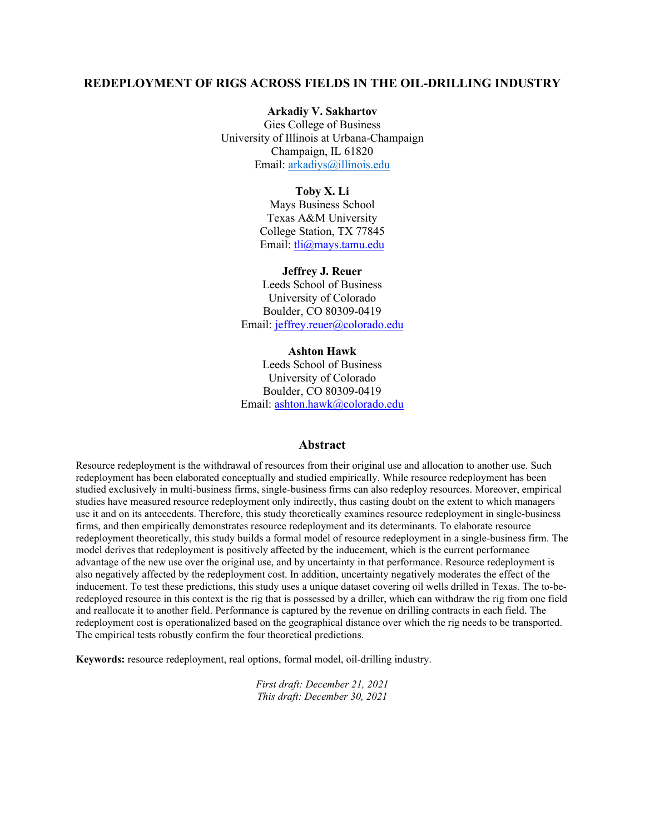#### **Arkadiy V. Sakhartov**

Gies College of Business University of Illinois at Urbana-Champaign Champaign, IL 61820 Email: [arkadiys@illinois.edu](mailto:arkadiys@illinois.edu)

#### **Toby X. Li**

Mays Business School Texas A&M University College Station, TX 77845 Email: tli@mays.tamu.edu

#### **Jeffrey J. Reuer**

Leeds School of Business University of Colorado Boulder, CO 80309-0419 Email: [jeffrey.reuer@colorado.edu](mailto:jeffrey.reuer@colorado.edu)

#### **Ashton Hawk**

Leeds School of Business University of Colorado Boulder, CO 80309-0419 Email: [ashton.hawk@colorado.edu](mailto:ashton.hawk@colorado.edu)

#### **Abstract**

Resource redeployment is the withdrawal of resources from their original use and allocation to another use. Such redeployment has been elaborated conceptually and studied empirically. While resource redeployment has been studied exclusively in multi-business firms, single-business firms can also redeploy resources. Moreover, empirical studies have measured resource redeployment only indirectly, thus casting doubt on the extent to which managers use it and on its antecedents. Therefore, this study theoretically examines resource redeployment in single-business firms, and then empirically demonstrates resource redeployment and its determinants. To elaborate resource redeployment theoretically, this study builds a formal model of resource redeployment in a single-business firm. The model derives that redeployment is positively affected by the inducement, which is the current performance advantage of the new use over the original use, and by uncertainty in that performance. Resource redeployment is also negatively affected by the redeployment cost. In addition, uncertainty negatively moderates the effect of the inducement. To test these predictions, this study uses a unique dataset covering oil wells drilled in Texas. The to-beredeployed resource in this context is the rig that is possessed by a driller, which can withdraw the rig from one field and reallocate it to another field. Performance is captured by the revenue on drilling contracts in each field. The redeployment cost is operationalized based on the geographical distance over which the rig needs to be transported. The empirical tests robustly confirm the four theoretical predictions.

**Keywords:** resource redeployment, real options, formal model, oil-drilling industry.

*First draft: December 21, 2021 This draft: December 30, 2021*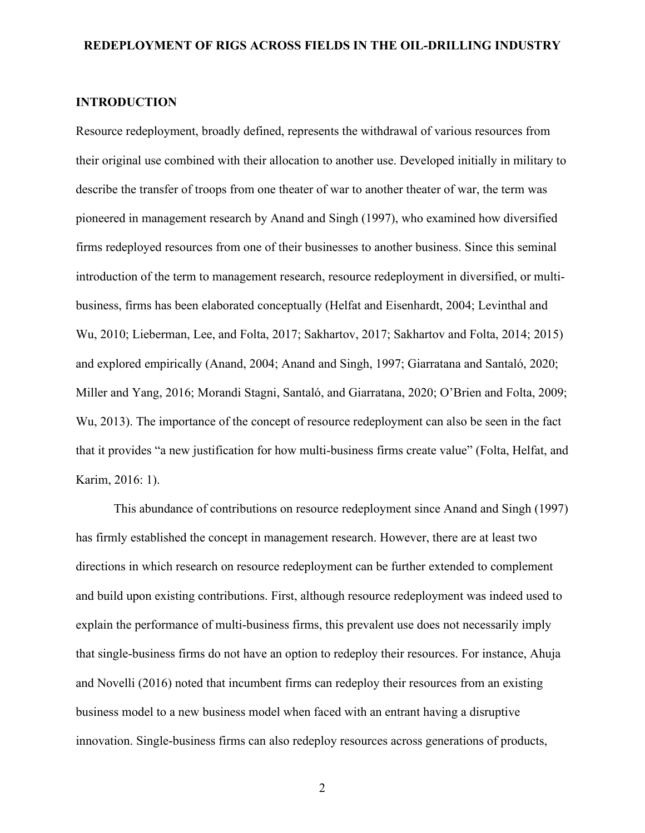#### **INTRODUCTION**

Resource redeployment, broadly defined, represents the withdrawal of various resources from their original use combined with their allocation to another use. Developed initially in military to describe the transfer of troops from one theater of war to another theater of war, the term was pioneered in management research by Anand and Singh (1997), who examined how diversified firms redeployed resources from one of their businesses to another business. Since this seminal introduction of the term to management research, resource redeployment in diversified, or multibusiness, firms has been elaborated conceptually (Helfat and Eisenhardt, 2004; Levinthal and Wu, 2010; Lieberman, Lee, and Folta, 2017; Sakhartov, 2017; Sakhartov and Folta, 2014; 2015) and explored empirically (Anand, 2004; Anand and Singh, 1997; Giarratana and Santaló, 2020; Miller and Yang, 2016; Morandi Stagni, Santaló, and Giarratana, 2020; O'Brien and Folta, 2009; Wu, 2013). The importance of the concept of resource redeployment can also be seen in the fact that it provides "a new justification for how multi-business firms create value" (Folta, Helfat, and Karim, 2016: 1).

This abundance of contributions on resource redeployment since Anand and Singh (1997) has firmly established the concept in management research. However, there are at least two directions in which research on resource redeployment can be further extended to complement and build upon existing contributions. First, although resource redeployment was indeed used to explain the performance of multi-business firms, this prevalent use does not necessarily imply that single-business firms do not have an option to redeploy their resources. For instance, Ahuja and Novelli (2016) noted that incumbent firms can redeploy their resources from an existing business model to a new business model when faced with an entrant having a disruptive innovation. Single-business firms can also redeploy resources across generations of products,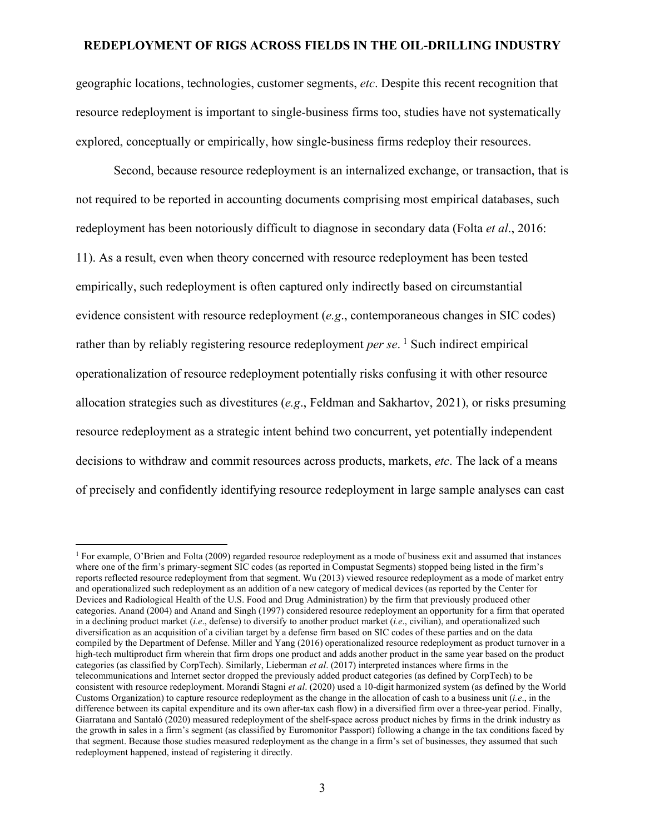geographic locations, technologies, customer segments, *etc*. Despite this recent recognition that resource redeployment is important to single-business firms too, studies have not systematically explored, conceptually or empirically, how single-business firms redeploy their resources.

Second, because resource redeployment is an internalized exchange, or transaction, that is not required to be reported in accounting documents comprising most empirical databases, such redeployment has been notoriously difficult to diagnose in secondary data (Folta *et al*., 2016: 11). As a result, even when theory concerned with resource redeployment has been tested empirically, such redeployment is often captured only indirectly based on circumstantial evidence consistent with resource redeployment (*e.g*., contemporaneous changes in SIC codes) rather than by reliably registering resource redeployment *per se*.<sup>[1](#page-2-0)</sup> Such indirect empirical operationalization of resource redeployment potentially risks confusing it with other resource allocation strategies such as divestitures (*e.g*., Feldman and Sakhartov, 2021), or risks presuming resource redeployment as a strategic intent behind two concurrent, yet potentially independent decisions to withdraw and commit resources across products, markets, *etc*. The lack of a means of precisely and confidently identifying resource redeployment in large sample analyses can cast

<span id="page-2-0"></span><sup>&</sup>lt;sup>1</sup> For example, O'Brien and Folta (2009) regarded resource redeployment as a mode of business exit and assumed that instances where one of the firm's primary-segment SIC codes (as reported in Compustat Segments) stopped being listed in the firm's reports reflected resource redeployment from that segment. Wu (2013) viewed resource redeployment as a mode of market entry and operationalized such redeployment as an addition of a new category of medical devices (as reported by the Center for Devices and Radiological Health of the U.S. Food and Drug Administration) by the firm that previously produced other categories. Anand (2004) and Anand and Singh (1997) considered resource redeployment an opportunity for a firm that operated in a declining product market (*i.e*., defense) to diversify to another product market (*i.e*., civilian), and operationalized such diversification as an acquisition of a civilian target by a defense firm based on SIC codes of these parties and on the data compiled by the Department of Defense. Miller and Yang (2016) operationalized resource redeployment as product turnover in a high-tech multiproduct firm wherein that firm drops one product and adds another product in the same year based on the product categories (as classified by CorpTech). Similarly, Lieberman *et al*. (2017) interpreted instances where firms in the telecommunications and Internet sector dropped the previously added product categories (as defined by CorpTech) to be consistent with resource redeployment. Morandi Stagni *et al*. (2020) used a 10-digit harmonized system (as defined by the World Customs Organization) to capture resource redeployment as the change in the allocation of cash to a business unit (*i.e*., in the difference between its capital expenditure and its own after-tax cash flow) in a diversified firm over a three-year period. Finally, Giarratana and Santaló (2020) measured redeployment of the shelf-space across product niches by firms in the drink industry as the growth in sales in a firm's segment (as classified by Euromonitor Passport) following a change in the tax conditions faced by that segment. Because those studies measured redeployment as the change in a firm's set of businesses, they assumed that such redeployment happened, instead of registering it directly.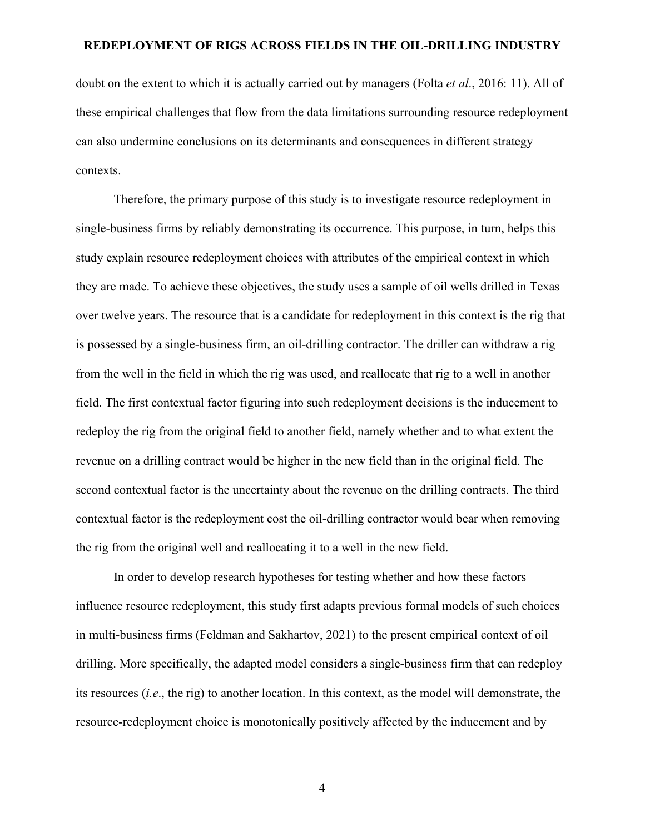doubt on the extent to which it is actually carried out by managers (Folta *et al*., 2016: 11). All of these empirical challenges that flow from the data limitations surrounding resource redeployment can also undermine conclusions on its determinants and consequences in different strategy contexts.

Therefore, the primary purpose of this study is to investigate resource redeployment in single-business firms by reliably demonstrating its occurrence. This purpose, in turn, helps this study explain resource redeployment choices with attributes of the empirical context in which they are made. To achieve these objectives, the study uses a sample of oil wells drilled in Texas over twelve years. The resource that is a candidate for redeployment in this context is the rig that is possessed by a single-business firm, an oil-drilling contractor. The driller can withdraw a rig from the well in the field in which the rig was used, and reallocate that rig to a well in another field. The first contextual factor figuring into such redeployment decisions is the inducement to redeploy the rig from the original field to another field, namely whether and to what extent the revenue on a drilling contract would be higher in the new field than in the original field. The second contextual factor is the uncertainty about the revenue on the drilling contracts. The third contextual factor is the redeployment cost the oil-drilling contractor would bear when removing the rig from the original well and reallocating it to a well in the new field.

In order to develop research hypotheses for testing whether and how these factors influence resource redeployment, this study first adapts previous formal models of such choices in multi-business firms (Feldman and Sakhartov, 2021) to the present empirical context of oil drilling. More specifically, the adapted model considers a single-business firm that can redeploy its resources (*i.e*., the rig) to another location. In this context, as the model will demonstrate, the resource-redeployment choice is monotonically positively affected by the inducement and by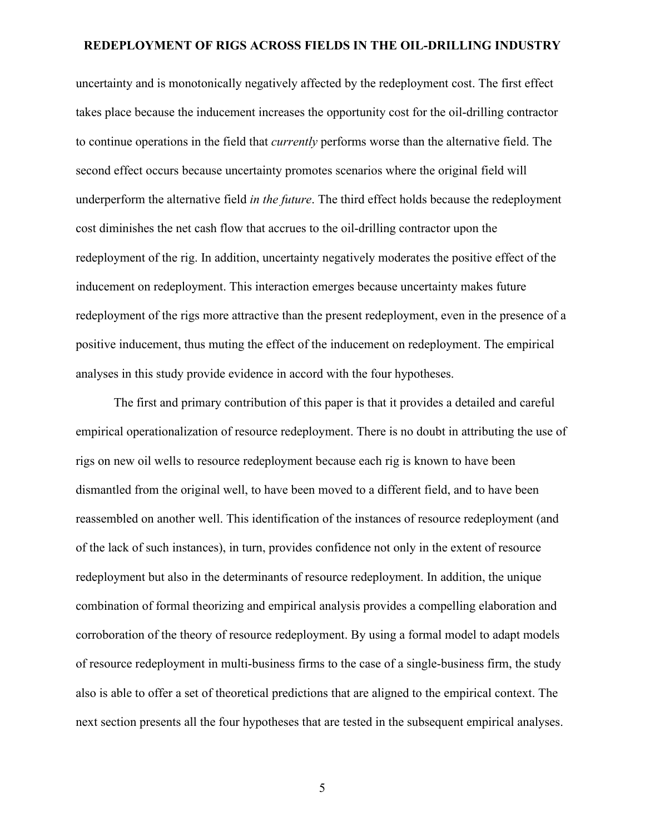uncertainty and is monotonically negatively affected by the redeployment cost. The first effect takes place because the inducement increases the opportunity cost for the oil-drilling contractor to continue operations in the field that *currently* performs worse than the alternative field. The second effect occurs because uncertainty promotes scenarios where the original field will underperform the alternative field *in the future*. The third effect holds because the redeployment cost diminishes the net cash flow that accrues to the oil-drilling contractor upon the redeployment of the rig. In addition, uncertainty negatively moderates the positive effect of the inducement on redeployment. This interaction emerges because uncertainty makes future redeployment of the rigs more attractive than the present redeployment, even in the presence of a positive inducement, thus muting the effect of the inducement on redeployment. The empirical analyses in this study provide evidence in accord with the four hypotheses.

The first and primary contribution of this paper is that it provides a detailed and careful empirical operationalization of resource redeployment. There is no doubt in attributing the use of rigs on new oil wells to resource redeployment because each rig is known to have been dismantled from the original well, to have been moved to a different field, and to have been reassembled on another well. This identification of the instances of resource redeployment (and of the lack of such instances), in turn, provides confidence not only in the extent of resource redeployment but also in the determinants of resource redeployment. In addition, the unique combination of formal theorizing and empirical analysis provides a compelling elaboration and corroboration of the theory of resource redeployment. By using a formal model to adapt models of resource redeployment in multi-business firms to the case of a single-business firm, the study also is able to offer a set of theoretical predictions that are aligned to the empirical context. The next section presents all the four hypotheses that are tested in the subsequent empirical analyses.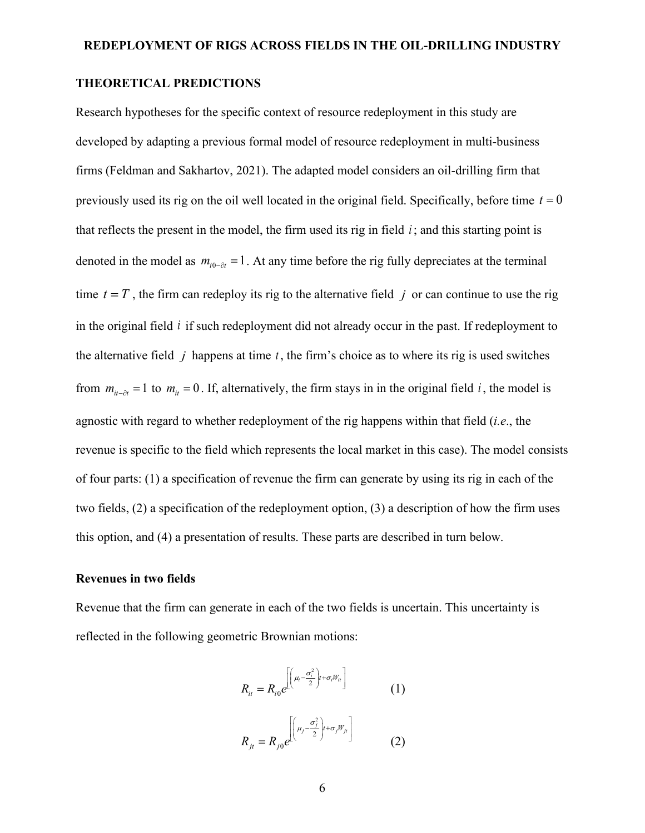## **THEORETICAL PREDICTIONS**

Research hypotheses for the specific context of resource redeployment in this study are developed by adapting a previous formal model of resource redeployment in multi-business firms (Feldman and Sakhartov, 2021). The adapted model considers an oil-drilling firm that previously used its rig on the oil well located in the original field. Specifically, before time  $t = 0$ that reflects the present in the model, the firm used its rig in field  $i$ ; and this starting point is denoted in the model as  $m_{i0-\alpha} = 1$ . At any time before the rig fully depreciates at the terminal time  $t = T$ , the firm can redeploy its rig to the alternative field *j* or can continue to use the rig in the original field *i* if such redeployment did not already occur in the past. If redeployment to the alternative field  $j$  happens at time  $t$ , the firm's choice as to where its rig is used switches from  $m_{ii-\delta t} = 1$  to  $m_{ii} = 0$ . If, alternatively, the firm stays in in the original field *i*, the model is agnostic with regard to whether redeployment of the rig happens within that field (*i.e*., the revenue is specific to the field which represents the local market in this case). The model consists of four parts: (1) a specification of revenue the firm can generate by using its rig in each of the two fields, (2) a specification of the redeployment option, (3) a description of how the firm uses this option, and (4) a presentation of results. These parts are described in turn below.

## **Revenues in two fields**

Revenue that the firm can generate in each of the two fields is uncertain. This uncertainty is reflected in the following geometric Brownian motions:

$$
R_{it} = R_{i0} e^{\left[\left(\mu_i - \frac{\sigma_i^2}{2}\right)t + \sigma_i W_{it}\right]}
$$
\n
$$
R_{jt} = R_{j0} e^{\left[\left(\mu_j - \frac{\sigma_j^2}{2}\right)t + \sigma_j W_{jt}\right]}
$$
\n(1)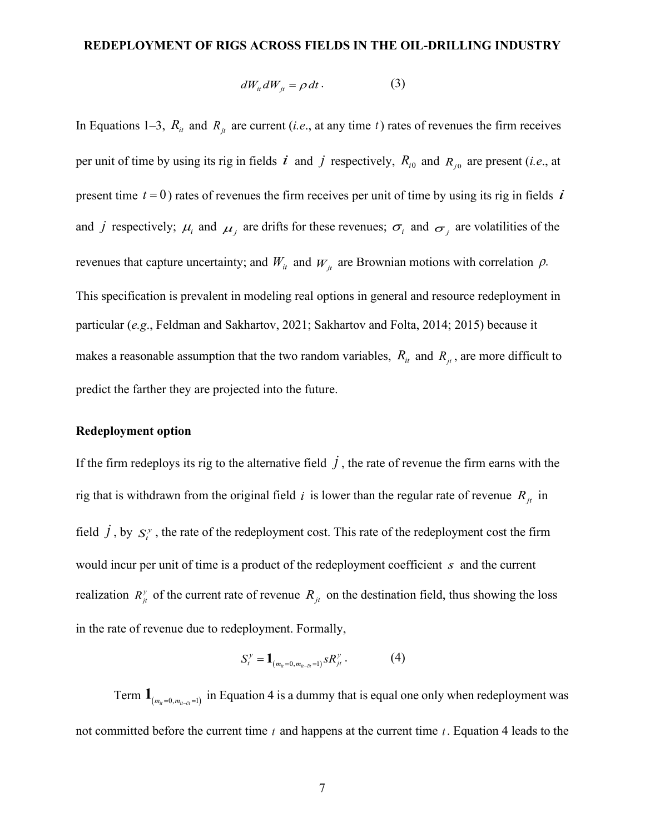$$
dW_{it} dW_{jt} = \rho dt. \qquad (3)
$$

In Equations 1–3,  $R_{it}$  and  $R_{jt}$  are current (*i.e.*, at any time *t*) rates of revenues the firm receives per unit of time by using its rig in fields  $i$  and  $j$  respectively,  $R_{i0}$  and  $R_{j0}$  are present (*i.e.*, at present time  $t = 0$ ) rates of revenues the firm receives per unit of time by using its rig in fields  $\vec{i}$ and *j* respectively;  $\mu_i$  and  $\mu_j$  are drifts for these revenues;  $\sigma_i$  and  $\sigma_j$  are volatilities of the revenues that capture uncertainty; and  $W_{it}$  and  $W_{jt}$  are Brownian motions with correlation  $\rho$ . This specification is prevalent in modeling real options in general and resource redeployment in particular (*e.g*., Feldman and Sakhartov, 2021; Sakhartov and Folta, 2014; 2015) because it makes a reasonable assumption that the two random variables,  $R_{it}$  and  $R_{it}$ , are more difficult to predict the farther they are projected into the future.

#### **Redeployment option**

If the firm redeploys its rig to the alternative field  $\vec{j}$ , the rate of revenue the firm earns with the rig that is withdrawn from the original field  $i$  is lower than the regular rate of revenue  $R_{it}$  in field  $\dot{J}$ , by  $S_t^y$ , the rate of the redeployment cost. This rate of the redeployment cost the firm would incur per unit of time is a product of the redeployment coefficient *s* and the current realization  $R_{it}^{y}$  of the current rate of revenue  $R_{it}$  on the destination field, thus showing the loss in the rate of revenue due to redeployment. Formally,

$$
S_t^{\mathcal{Y}} = \mathbf{1}_{(m_{it}=0, m_{it-it}=1)} S R_{jt}^{\mathcal{Y}}.
$$
 (4)

Term  $\mathbf{1}_{(m_{ii}=0, m_{ii-0} = 1)}$  in Equation 4 is a dummy that is equal one only when redeployment was not committed before the current time *t* and happens at the current time *t* . Equation 4 leads to the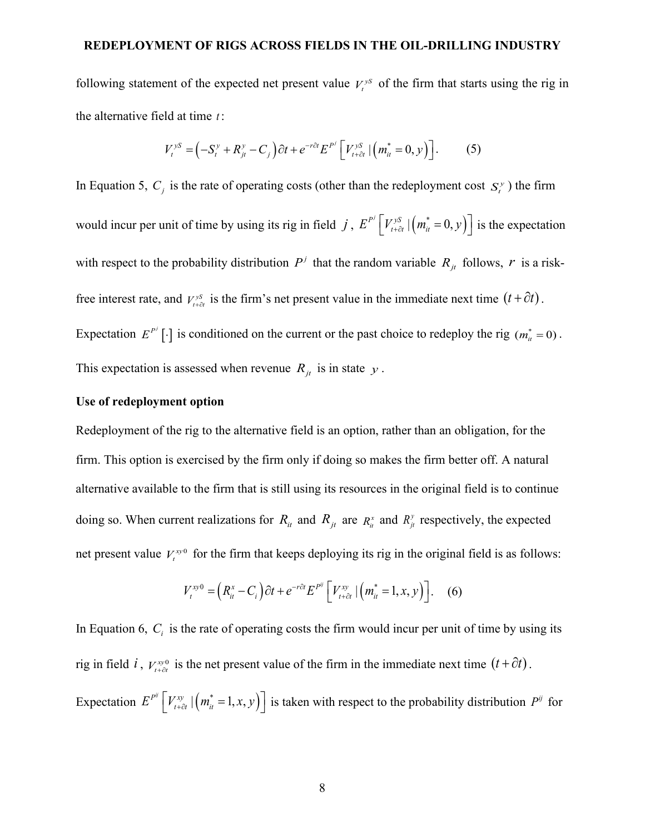following statement of the expected net present value  $V_t^{ys}$  of the firm that starts using the rig in the alternative field at time *t* :

$$
V_t^{yS} = \left(-S_t^y + R_{jt}^y - C_j\right)\partial t + e^{-r\partial t} E^{P^j} \left[V_{t+\partial t}^{yS} \mid \left(m_{it}^* = 0, y\right)\right].
$$
 (5)

In Equation 5,  $C_i$  is the rate of operating costs (other than the redeployment cost  $S_i^y$ ) the firm would incur per unit of time by using its rig in field *j*,  $E^{P} \left[ V_{t+\partial t}^{yS} | (m_t^* = 0, y) \right]$  is the expectation with respect to the probability distribution  $P^j$  that the random variable  $R_{it}$  follows,  $r$  is a riskfree interest rate, and  $V_{t+\partial t}^{S}$  is the firm's net present value in the immediate next time  $(t+\partial t)$ . Expectation  $E^{P'}[\cdot]$  is conditioned on the current or the past choice to redeploy the rig  $(m_{\tilde{u}}^* = 0)$ . This expectation is assessed when revenue  $R_{it}$  is in state  $y$ .

## **Use of redeployment option**

Redeployment of the rig to the alternative field is an option, rather than an obligation, for the firm. This option is exercised by the firm only if doing so makes the firm better off. A natural alternative available to the firm that is still using its resources in the original field is to continue doing so. When current realizations for  $R_{it}$  and  $R_{it}$  are  $R_{it}$  and  $R_{it}$  respectively, the expected net present value  $V_t^{xy0}$  for the firm that keeps deploying its rig in the original field is as follows:

$$
V_t^{xy0} = \left(R_{it}^x - C_i\right)\partial t + e^{-r\partial t}E^{P^y}\left[V_{t+\partial t}^{xy} \mid \left(m_{it}^* = 1, x, y\right)\right].\tag{6}
$$

In Equation 6,  $C_i$  is the rate of operating costs the firm would incur per unit of time by using its rig in field *i*,  $V_{t+\delta t}^{xy0}$  is the net present value of the firm in the immediate next time  $(t+\partial t)$ . Expectation  $E^{P^y}\left[V_{t+\partial t}^y\middle| \left(m_{it}^* = 1, x, y\right)\right]$  is taken with respect to the probability distribution  $P^y$  for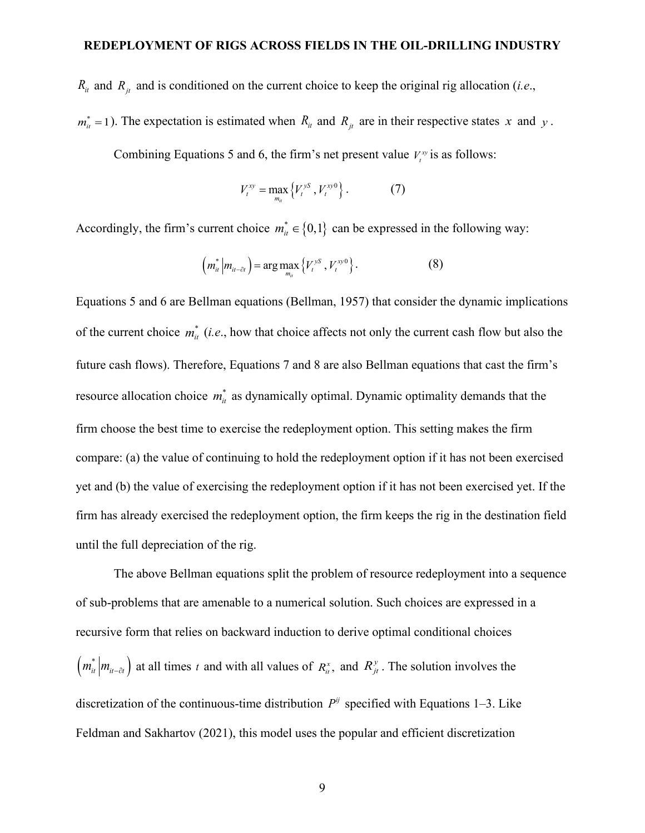$R_{it}$  and  $R_{it}$  and is conditioned on the current choice to keep the original rig allocation (*i.e.*,

 $m_{ii}^* = 1$ ). The expectation is estimated when  $R_{ii}$  and  $R_{ji}$  are in their respective states *x* and *y*.

Combining Equations 5 and 6, the firm's net present value  $V_t^w$  is as follows:

$$
V_t^{xy} = \max_{m_{tt}} \{V_t^{ys}, V_t^{xy0}\}.
$$
 (7)

Accordingly, the firm's current choice  $m^*_{it} \in \{0,1\}$  can be expressed in the following way:

$$
\left(m_{it}^*\left|m_{it-\partial t}\right.\right)=\arg\max_{m_{it}}\left\{V_t^{yS}, V_t^{xy0}\right\}.
$$
 (8)

Equations 5 and 6 are Bellman equations (Bellman, 1957) that consider the dynamic implications of the current choice  $m_{ii}^*$  (*i.e.*, how that choice affects not only the current cash flow but also the future cash flows). Therefore, Equations 7 and 8 are also Bellman equations that cast the firm's resource allocation choice  $m_{ij}^*$  as dynamically optimal. Dynamic optimality demands that the firm choose the best time to exercise the redeployment option. This setting makes the firm compare: (a) the value of continuing to hold the redeployment option if it has not been exercised yet and (b) the value of exercising the redeployment option if it has not been exercised yet. If the firm has already exercised the redeployment option, the firm keeps the rig in the destination field until the full depreciation of the rig.

The above Bellman equations split the problem of resource redeployment into a sequence of sub-problems that are amenable to a numerical solution. Such choices are expressed in a recursive form that relies on backward induction to derive optimal conditional choices  $\left( m_{it}^{*} \middle| m_{it-\partial t} \right)$  at all times *t* and with all values of  $R_{it}^{x}$ , and  $R_{jt}^{y}$ . The solution involves the discretization of the continuous-time distribution  $P^{ij}$  specified with Equations 1–3. Like Feldman and Sakhartov (2021), this model uses the popular and efficient discretization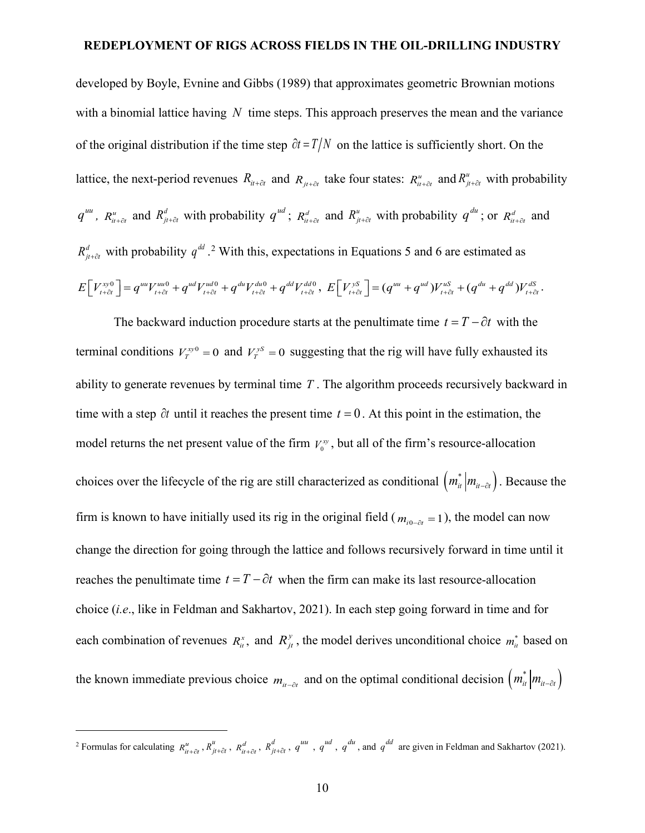developed by Boyle, Evnine and Gibbs (1989) that approximates geometric Brownian motions with a binomial lattice having *N* time steps. This approach preserves the mean and the variance of the original distribution if the time step  $\partial t = T/N$  on the lattice is sufficiently short. On the lattice, the next-period revenues  $R_{it+dt}$  and  $R_{jt+dt}$  take four states:  $R_{it+dt}^u$  and  $R_{jt+dt}^u$  with probability  $q^{uu}$ ,  $R_{u+\partial t}^u$  and  $R_{u+\partial t}^d$  with probability  $q^{ud}$ ;  $R_{u+\partial t}^d$  and  $R_{u+\partial t}^u$  with probability  $q^{du}$ ; or  $R_{u+\partial t}^d$  and  $R_{j_t+\delta t}^d$  with probability  $q^{dd}$ . <sup>[2](#page-9-0)</sup> With this, expectations in Equations 5 and 6 are estimated as  $E[V_{t+\partial t}^{xy0}] = q^{uu}V_{t+\partial t}^{uu0} + q^{ud}V_{t+\partial t}^{ud0} + q^{du}V_{t+\partial t}^{du0} + q^{dd}V_{t+\partial t}^{dd0}, E[V_{t+\partial t}^{yz}] = (q^{uu} + q^{ud})V_{t+\partial t}^{uS} + (q^{du} + q^{dd})V_{t+\partial t}^{dS}$ 

The backward induction procedure starts at the penultimate time  $t = T - \partial t$  with the terminal conditions  $V_T^{xy0} = 0$  and  $V_T^{ys} = 0$  suggesting that the rig will have fully exhausted its ability to generate revenues by terminal time *T* . The algorithm proceeds recursively backward in time with a step ∂*t* until it reaches the present time *t* = 0 . At this point in the estimation, the model returns the net present value of the firm  $V_0^{\text{xy}}$ , but all of the firm's resource-allocation choices over the lifecycle of the rig are still characterized as conditional  $(m_{i}^{*} | m_{i} - \partial t)$ . Because the firm is known to have initially used its rig in the original field ( $m_{i0-\alpha t} = 1$ ), the model can now change the direction for going through the lattice and follows recursively forward in time until it reaches the penultimate time  $t = T - \partial t$  when the firm can make its last resource-allocation choice (*i.e*., like in Feldman and Sakhartov, 2021). In each step going forward in time and for each combination of revenues  $R_{it}^x$ , and  $R_{jt}^y$ , the model derives unconditional choice  $m_{it}^*$  based on the known immediate previous choice  $m_{i}$ <sub>*n*-∂t</sub> and on the optimal conditional decision  $\left( m_{i}^{*} \middle| m_{i}$ <sub>*i*</sub>  $\right)$ 

<span id="page-9-0"></span><sup>&</sup>lt;sup>2</sup> Formulas for calculating  $R_{it\to t}^u$ ,  $R_{jt\to t}^d$ ,  $R_{it\to t}^d$ ,  $R_{it\to t}^d$ ,  $q^{uu}$ ,  $q^{ud}$ ,  $q^{du}$ , and  $q^{dd}$  are given in Feldman and Sakhartov (2021).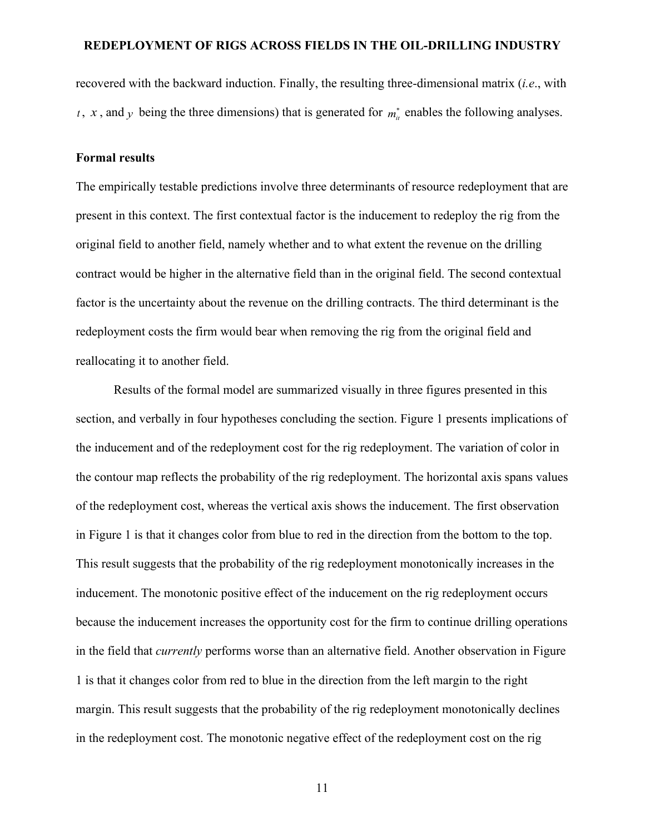recovered with the backward induction. Finally, the resulting three-dimensional matrix (*i.e*., with *t*, *x*, and *y* being the three dimensions) that is generated for  $m_{ij}^*$  enables the following analyses.

#### **Formal results**

The empirically testable predictions involve three determinants of resource redeployment that are present in this context. The first contextual factor is the inducement to redeploy the rig from the original field to another field, namely whether and to what extent the revenue on the drilling contract would be higher in the alternative field than in the original field. The second contextual factor is the uncertainty about the revenue on the drilling contracts. The third determinant is the redeployment costs the firm would bear when removing the rig from the original field and reallocating it to another field.

Results of the formal model are summarized visually in three figures presented in this section, and verbally in four hypotheses concluding the section. Figure 1 presents implications of the inducement and of the redeployment cost for the rig redeployment. The variation of color in the contour map reflects the probability of the rig redeployment. The horizontal axis spans values of the redeployment cost, whereas the vertical axis shows the inducement. The first observation in Figure 1 is that it changes color from blue to red in the direction from the bottom to the top. This result suggests that the probability of the rig redeployment monotonically increases in the inducement. The monotonic positive effect of the inducement on the rig redeployment occurs because the inducement increases the opportunity cost for the firm to continue drilling operations in the field that *currently* performs worse than an alternative field. Another observation in Figure 1 is that it changes color from red to blue in the direction from the left margin to the right margin. This result suggests that the probability of the rig redeployment monotonically declines in the redeployment cost. The monotonic negative effect of the redeployment cost on the rig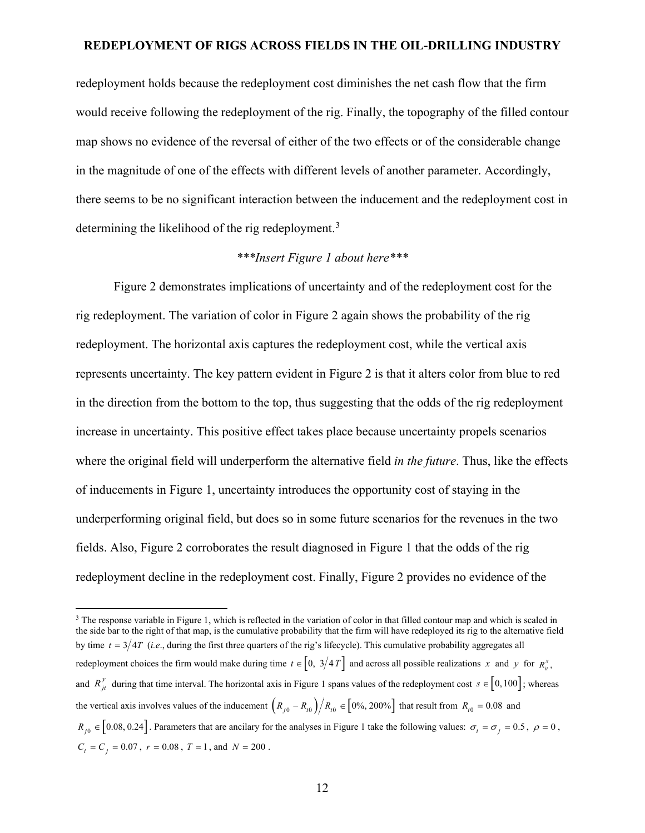redeployment holds because the redeployment cost diminishes the net cash flow that the firm would receive following the redeployment of the rig. Finally, the topography of the filled contour map shows no evidence of the reversal of either of the two effects or of the considerable change in the magnitude of one of the effects with different levels of another parameter. Accordingly, there seems to be no significant interaction between the inducement and the redeployment cost in determining the likelihood of the rig redeployment.<sup>[3](#page-11-0)</sup>

## *\*\*\*Insert Figure 1 about here\*\*\**

Figure 2 demonstrates implications of uncertainty and of the redeployment cost for the rig redeployment. The variation of color in Figure 2 again shows the probability of the rig redeployment. The horizontal axis captures the redeployment cost, while the vertical axis represents uncertainty. The key pattern evident in Figure 2 is that it alters color from blue to red in the direction from the bottom to the top, thus suggesting that the odds of the rig redeployment increase in uncertainty. This positive effect takes place because uncertainty propels scenarios where the original field will underperform the alternative field *in the future*. Thus, like the effects of inducements in Figure 1, uncertainty introduces the opportunity cost of staying in the underperforming original field, but does so in some future scenarios for the revenues in the two fields. Also, Figure 2 corroborates the result diagnosed in Figure 1 that the odds of the rig redeployment decline in the redeployment cost. Finally, Figure 2 provides no evidence of the

<span id="page-11-0"></span><sup>&</sup>lt;sup>3</sup> The response variable in Figure 1, which is reflected in the variation of color in that filled contour map and which is scaled in the side bar to the right of that map, is the cumulative probability that the firm will have redeployed its rig to the alternative field by time  $t = 3/4T$  (*i.e.*, during the first three quarters of the rig's lifecycle). This cumulative probability aggregates all redeployment choices the firm would make during time  $t \in [0, 3/4T]$  and across all possible realizations *x* and *y* for  $R_{ii}^x$ , and  $R_{jt}^y$  during that time interval. The horizontal axis in Figure 1 spans values of the redeployment cost  $s \in [0,100]$ ; whereas the vertical axis involves values of the inducement  $\left(R_{i0} - R_{i0}\right)/R_{i0} \in [0\%, 200\%]$  that result from  $R_{i0} = 0.08$  and  $R_{i0} \in [0.08, 0.24]$ . Parameters that are ancilary for the analyses in Figure 1 take the following values:  $\sigma_i = \sigma_j = 0.5$ ,  $\rho = 0$ ,  $C_i = C_j = 0.07$ ,  $r = 0.08$ ,  $T = 1$ , and  $N = 200$ .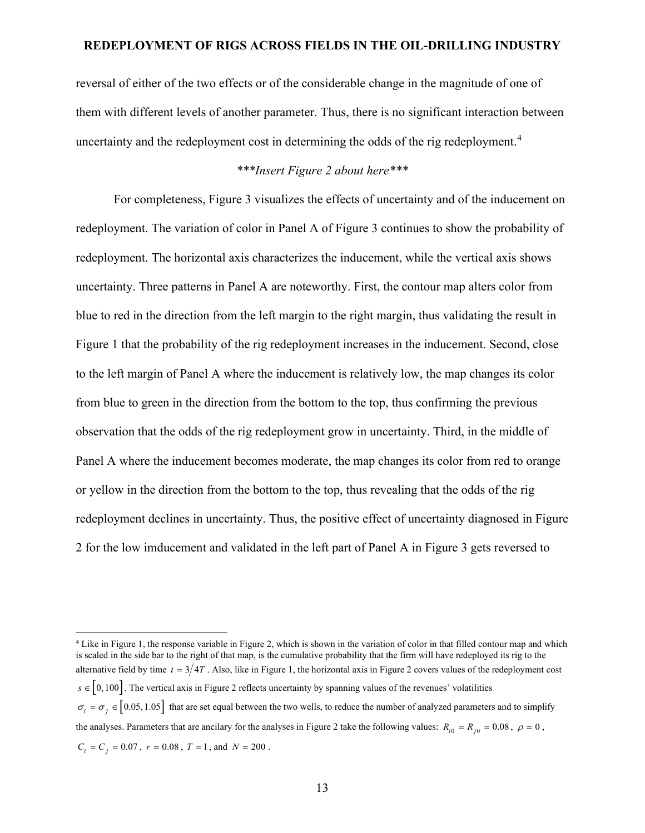reversal of either of the two effects or of the considerable change in the magnitude of one of them with different levels of another parameter. Thus, there is no significant interaction between uncertainty and the redeployment cost in determining the odds of the rig redeployment.<sup>[4](#page-12-0)</sup>

# *\*\*\*Insert Figure 2 about here\*\*\**

For completeness, Figure 3 visualizes the effects of uncertainty and of the inducement on redeployment. The variation of color in Panel A of Figure 3 continues to show the probability of redeployment. The horizontal axis characterizes the inducement, while the vertical axis shows uncertainty. Three patterns in Panel A are noteworthy. First, the contour map alters color from blue to red in the direction from the left margin to the right margin, thus validating the result in Figure 1 that the probability of the rig redeployment increases in the inducement. Second, close to the left margin of Panel A where the inducement is relatively low, the map changes its color from blue to green in the direction from the bottom to the top, thus confirming the previous observation that the odds of the rig redeployment grow in uncertainty. Third, in the middle of Panel A where the inducement becomes moderate, the map changes its color from red to orange or yellow in the direction from the bottom to the top, thus revealing that the odds of the rig redeployment declines in uncertainty. Thus, the positive effect of uncertainty diagnosed in Figure 2 for the low imducement and validated in the left part of Panel A in Figure 3 gets reversed to

<span id="page-12-0"></span><sup>4</sup> Like in Figure 1, the response variable in Figure 2, which is shown in the variation of color in that filled contour map and which is scaled in the side bar to the right of that map, is the cumulative probability that the firm will have redeployed its rig to the alternative field by time  $t = 3/4T$ . Also, like in Figure 1, the horizontal axis in Figure 2 covers values of the redeployment cost  $s \in [0,100]$ . The vertical axis in Figure 2 reflects uncertainty by spanning values of the revenues' volatilities  $\sigma_i = \sigma_i \in [0.05, 1.05]$  that are set equal between the two wells, to reduce the number of analyzed parameters and to simplify the analyses. Parameters that are ancilary for the analyses in Figure 2 take the following values:  $R_{i0} = R_{i0} = 0.08$ ,  $\rho = 0$ ,  $C_i = C_i = 0.07$ ,  $r = 0.08$ ,  $T = 1$ , and  $N = 200$ .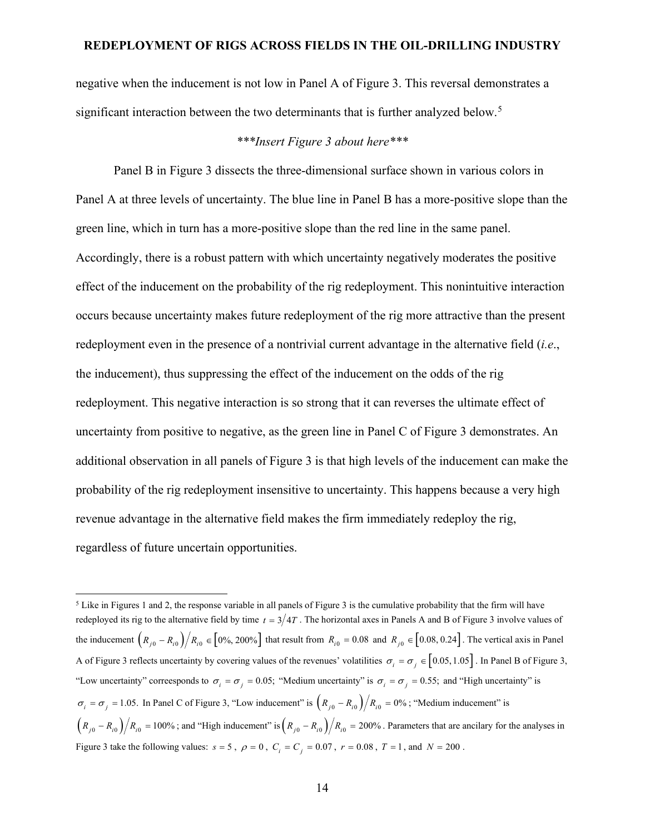negative when the inducement is not low in Panel A of Figure 3. This reversal demonstrates a significant interaction between the two determinants that is further analyzed below.<sup>[5](#page-13-0)</sup>

## *\*\*\*Insert Figure 3 about here\*\*\**

Panel B in Figure 3 dissects the three-dimensional surface shown in various colors in Panel A at three levels of uncertainty. The blue line in Panel B has a more-positive slope than the green line, which in turn has a more-positive slope than the red line in the same panel. Accordingly, there is a robust pattern with which uncertainty negatively moderates the positive effect of the inducement on the probability of the rig redeployment. This nonintuitive interaction occurs because uncertainty makes future redeployment of the rig more attractive than the present redeployment even in the presence of a nontrivial current advantage in the alternative field (*i.e*., the inducement), thus suppressing the effect of the inducement on the odds of the rig redeployment. This negative interaction is so strong that it can reverses the ultimate effect of uncertainty from positive to negative, as the green line in Panel C of Figure 3 demonstrates. An additional observation in all panels of Figure 3 is that high levels of the inducement can make the probability of the rig redeployment insensitive to uncertainty. This happens because a very high revenue advantage in the alternative field makes the firm immediately redeploy the rig, regardless of future uncertain opportunities.

<span id="page-13-0"></span> $<sup>5</sup>$  Like in Figures 1 and 2, the response variable in all panels of Figure 3 is the cumulative probability that the firm will have</sup> redeployed its rig to the alternative field by time  $t = 3/4T$ . The horizontal axes in Panels A and B of Figure 3 involve values of the inducement  $\left(R_{j0} - R_{i0}\right) / R_{i0} \in [0\%, 200\%]$  that result from  $R_{i0} = 0.08$  and  $R_{j0} \in [0.08, 0.24]$ . The vertical axis in Panel A of Figure 3 reflects uncertainty by covering values of the revenues' volatilities  $\sigma_i = \sigma_j \in [0.05, 1.05]$ . In Panel B of Figure 3, "Low uncertainty" correesponds to  $\sigma_i = \sigma_j = 0.05$ ; "Medium uncertainty" is  $\sigma_i = \sigma_j = 0.55$ ; and "High uncertainty" is  $\sigma_i = \sigma_j = 1.05$ . In Panel C of Figure 3, "Low inducement" is  $\left(R_{j0} - R_{i0}\right)/R_{i0} = 0\%$ ; "Medium inducement" is  $\left(R_{j0} - R_{i0}\right)/R_{i0} = 100\%$ ; and "High inducement" is $\left(R_{j0} - R_{i0}\right)/R_{i0} = 200\%$ . Parameters that are ancilary for the analyses in Figure 3 take the following values:  $s = 5$ ,  $\rho = 0$ ,  $C_i = C_j = 0.07$ ,  $r = 0.08$ ,  $T = 1$ , and  $N = 200$ .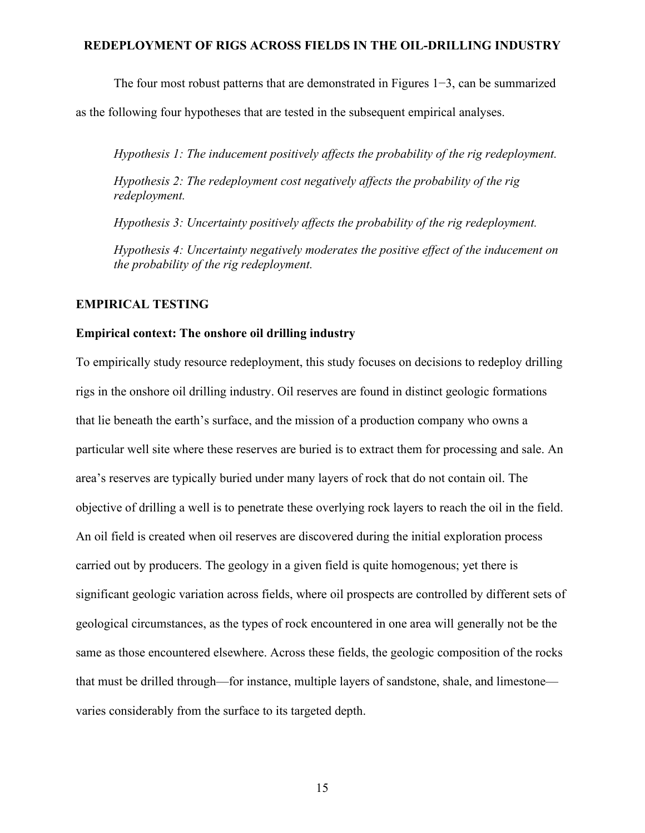The four most robust patterns that are demonstrated in Figures 1−3, can be summarized

as the following four hypotheses that are tested in the subsequent empirical analyses.

*Hypothesis 1: The inducement positively affects the probability of the rig redeployment.*

*Hypothesis 2: The redeployment cost negatively affects the probability of the rig redeployment.*

*Hypothesis 3: Uncertainty positively affects the probability of the rig redeployment.*

*Hypothesis 4: Uncertainty negatively moderates the positive effect of the inducement on the probability of the rig redeployment.*

#### **EMPIRICAL TESTING**

#### **Empirical context: The onshore oil drilling industry**

To empirically study resource redeployment, this study focuses on decisions to redeploy drilling rigs in the onshore oil drilling industry. Oil reserves are found in distinct geologic formations that lie beneath the earth's surface, and the mission of a production company who owns a particular well site where these reserves are buried is to extract them for processing and sale. An area's reserves are typically buried under many layers of rock that do not contain oil. The objective of drilling a well is to penetrate these overlying rock layers to reach the oil in the field. An oil field is created when oil reserves are discovered during the initial exploration process carried out by producers. The geology in a given field is quite homogenous; yet there is significant geologic variation across fields, where oil prospects are controlled by different sets of geological circumstances, as the types of rock encountered in one area will generally not be the same as those encountered elsewhere. Across these fields, the geologic composition of the rocks that must be drilled through—for instance, multiple layers of sandstone, shale, and limestone varies considerably from the surface to its targeted depth.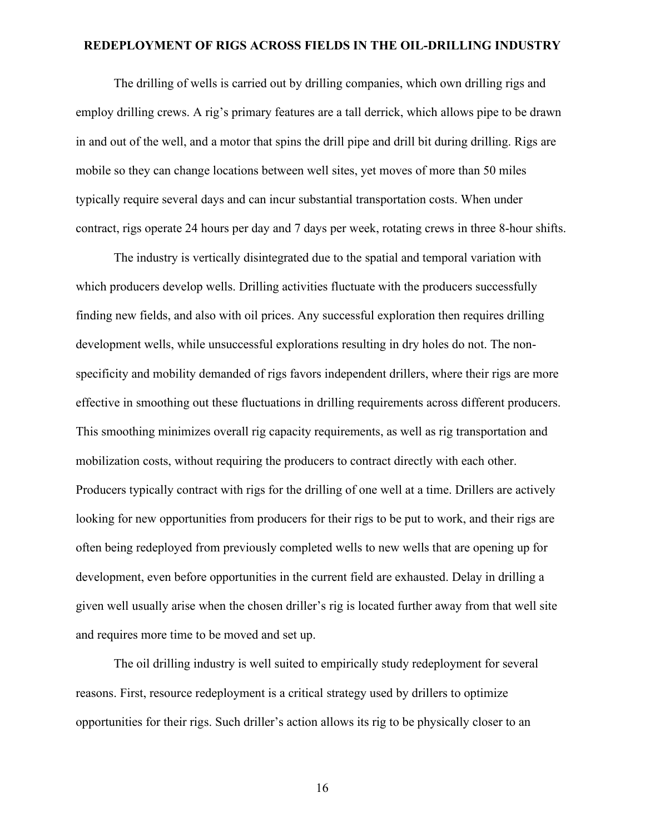The drilling of wells is carried out by drilling companies, which own drilling rigs and employ drilling crews. A rig's primary features are a tall derrick, which allows pipe to be drawn in and out of the well, and a motor that spins the drill pipe and drill bit during drilling. Rigs are mobile so they can change locations between well sites, yet moves of more than 50 miles typically require several days and can incur substantial transportation costs. When under contract, rigs operate 24 hours per day and 7 days per week, rotating crews in three 8-hour shifts.

The industry is vertically disintegrated due to the spatial and temporal variation with which producers develop wells. Drilling activities fluctuate with the producers successfully finding new fields, and also with oil prices. Any successful exploration then requires drilling development wells, while unsuccessful explorations resulting in dry holes do not. The nonspecificity and mobility demanded of rigs favors independent drillers, where their rigs are more effective in smoothing out these fluctuations in drilling requirements across different producers. This smoothing minimizes overall rig capacity requirements, as well as rig transportation and mobilization costs, without requiring the producers to contract directly with each other. Producers typically contract with rigs for the drilling of one well at a time. Drillers are actively looking for new opportunities from producers for their rigs to be put to work, and their rigs are often being redeployed from previously completed wells to new wells that are opening up for development, even before opportunities in the current field are exhausted. Delay in drilling a given well usually arise when the chosen driller's rig is located further away from that well site and requires more time to be moved and set up.

The oil drilling industry is well suited to empirically study redeployment for several reasons. First, resource redeployment is a critical strategy used by drillers to optimize opportunities for their rigs. Such driller's action allows its rig to be physically closer to an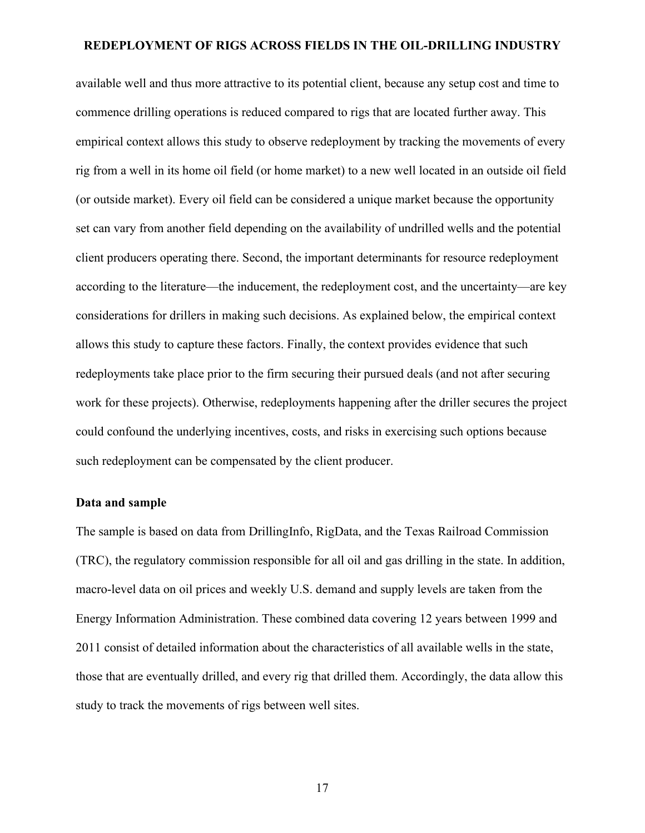available well and thus more attractive to its potential client, because any setup cost and time to commence drilling operations is reduced compared to rigs that are located further away. This empirical context allows this study to observe redeployment by tracking the movements of every rig from a well in its home oil field (or home market) to a new well located in an outside oil field (or outside market). Every oil field can be considered a unique market because the opportunity set can vary from another field depending on the availability of undrilled wells and the potential client producers operating there. Second, the important determinants for resource redeployment according to the literature—the inducement, the redeployment cost, and the uncertainty—are key considerations for drillers in making such decisions. As explained below, the empirical context allows this study to capture these factors. Finally, the context provides evidence that such redeployments take place prior to the firm securing their pursued deals (and not after securing work for these projects). Otherwise, redeployments happening after the driller secures the project could confound the underlying incentives, costs, and risks in exercising such options because such redeployment can be compensated by the client producer.

#### **Data and sample**

The sample is based on data from DrillingInfo, RigData, and the Texas Railroad Commission (TRC), the regulatory commission responsible for all oil and gas drilling in the state. In addition, macro-level data on oil prices and weekly U.S. demand and supply levels are taken from the Energy Information Administration. These combined data covering 12 years between 1999 and 2011 consist of detailed information about the characteristics of all available wells in the state, those that are eventually drilled, and every rig that drilled them. Accordingly, the data allow this study to track the movements of rigs between well sites.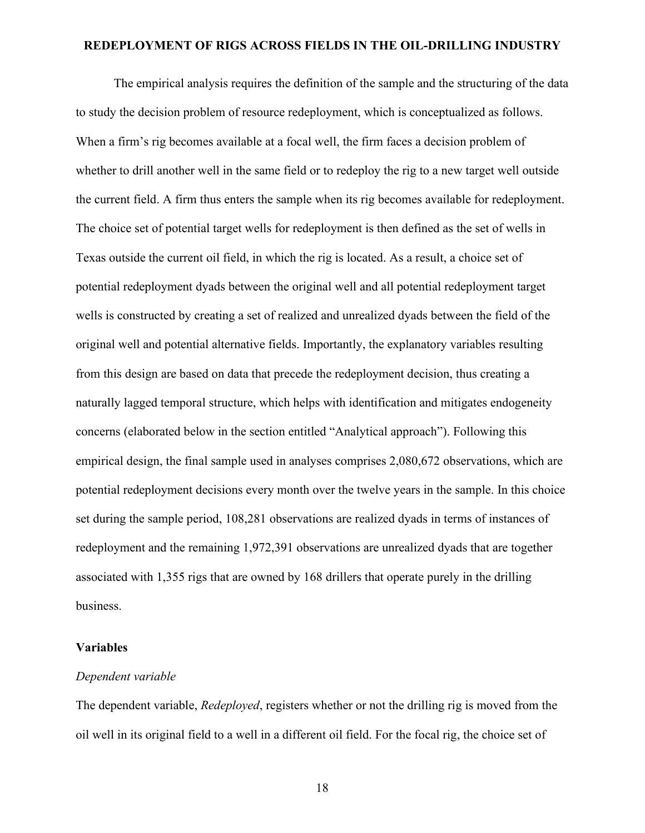The empirical analysis requires the definition of the sample and the structuring of the data to study the decision problem of resource redeployment, which is conceptualized as follows. When a firm's rig becomes available at a focal well, the firm faces a decision problem of whether to drill another well in the same field or to redeploy the rig to a new target well outside the current field. A firm thus enters the sample when its rig becomes available for redeployment. The choice set of potential target wells for redeployment is then defined as the set of wells in Texas outside the current oil field, in which the rig is located. As a result, a choice set of potential redeployment dyads between the original well and all potential redeployment target wells is constructed by creating a set of realized and unrealized dyads between the field of the original well and potential alternative fields. Importantly, the explanatory variables resulting from this design are based on data that precede the redeployment decision, thus creating a naturally lagged temporal structure, which helps with identification and mitigates endogeneity concerns (elaborated below in the section entitled "Analytical approach"). Following this empirical design, the final sample used in analyses comprises 2,080,672 observations, which are potential redeployment decisions every month over the twelve years in the sample. In this choice set during the sample period, 108,281 observations are realized dyads in terms of instances of redeployment and the remaining 1,972,391 observations are unrealized dyads that are together associated with 1,355 rigs that are owned by 168 drillers that operate purely in the drilling business.

#### **Variables**

#### *Dependent variable*

The dependent variable, *Redeployed*, registers whether or not the drilling rig is moved from the oil well in its original field to a well in a different oil field. For the focal rig, the choice set of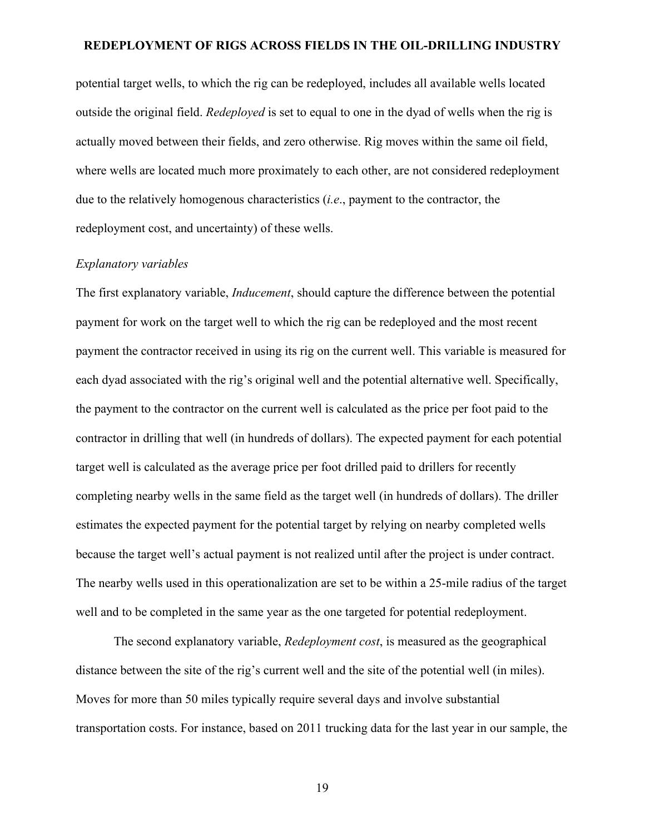potential target wells, to which the rig can be redeployed, includes all available wells located outside the original field. *Redeployed* is set to equal to one in the dyad of wells when the rig is actually moved between their fields, and zero otherwise. Rig moves within the same oil field, where wells are located much more proximately to each other, are not considered redeployment due to the relatively homogenous characteristics (*i.e*., payment to the contractor, the redeployment cost, and uncertainty) of these wells.

#### *Explanatory variables*

The first explanatory variable, *Inducement*, should capture the difference between the potential payment for work on the target well to which the rig can be redeployed and the most recent payment the contractor received in using its rig on the current well. This variable is measured for each dyad associated with the rig's original well and the potential alternative well. Specifically, the payment to the contractor on the current well is calculated as the price per foot paid to the contractor in drilling that well (in hundreds of dollars). The expected payment for each potential target well is calculated as the average price per foot drilled paid to drillers for recently completing nearby wells in the same field as the target well (in hundreds of dollars). The driller estimates the expected payment for the potential target by relying on nearby completed wells because the target well's actual payment is not realized until after the project is under contract. The nearby wells used in this operationalization are set to be within a 25-mile radius of the target well and to be completed in the same year as the one targeted for potential redeployment.

The second explanatory variable, *Redeployment cost*, is measured as the geographical distance between the site of the rig's current well and the site of the potential well (in miles). Moves for more than 50 miles typically require several days and involve substantial transportation costs. For instance, based on 2011 trucking data for the last year in our sample, the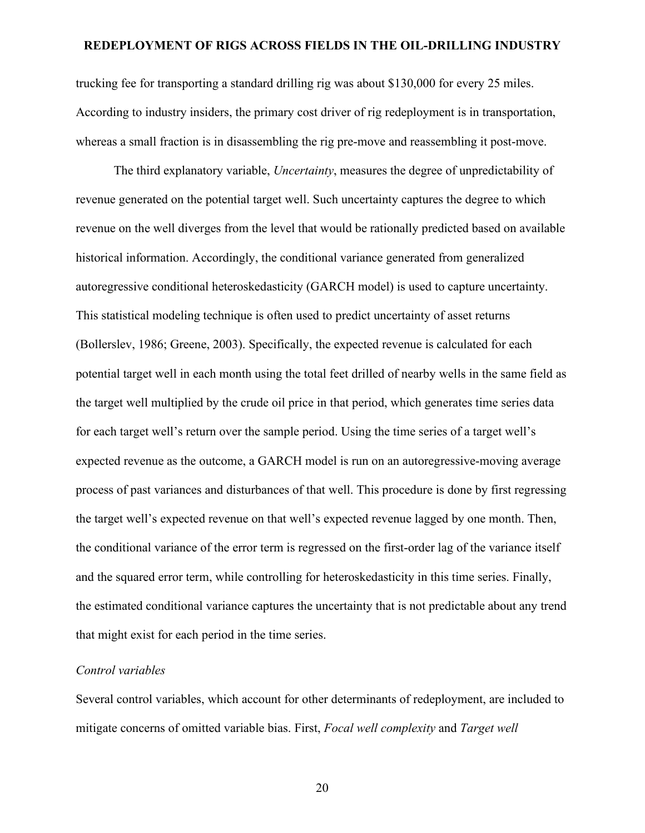trucking fee for transporting a standard drilling rig was about \$130,000 for every 25 miles. According to industry insiders, the primary cost driver of rig redeployment is in transportation, whereas a small fraction is in disassembling the rig pre-move and reassembling it post-move.

The third explanatory variable, *Uncertainty*, measures the degree of unpredictability of revenue generated on the potential target well. Such uncertainty captures the degree to which revenue on the well diverges from the level that would be rationally predicted based on available historical information. Accordingly, the conditional variance generated from generalized autoregressive conditional heteroskedasticity (GARCH model) is used to capture uncertainty. This statistical modeling technique is often used to predict uncertainty of asset returns (Bollerslev, 1986; Greene, 2003). Specifically, the expected revenue is calculated for each potential target well in each month using the total feet drilled of nearby wells in the same field as the target well multiplied by the crude oil price in that period, which generates time series data for each target well's return over the sample period. Using the time series of a target well's expected revenue as the outcome, a GARCH model is run on an autoregressive-moving average process of past variances and disturbances of that well. This procedure is done by first regressing the target well's expected revenue on that well's expected revenue lagged by one month. Then, the conditional variance of the error term is regressed on the first-order lag of the variance itself and the squared error term, while controlling for heteroskedasticity in this time series. Finally, the estimated conditional variance captures the uncertainty that is not predictable about any trend that might exist for each period in the time series.

#### *Control variables*

Several control variables, which account for other determinants of redeployment, are included to mitigate concerns of omitted variable bias. First, *Focal well complexity* and *Target well*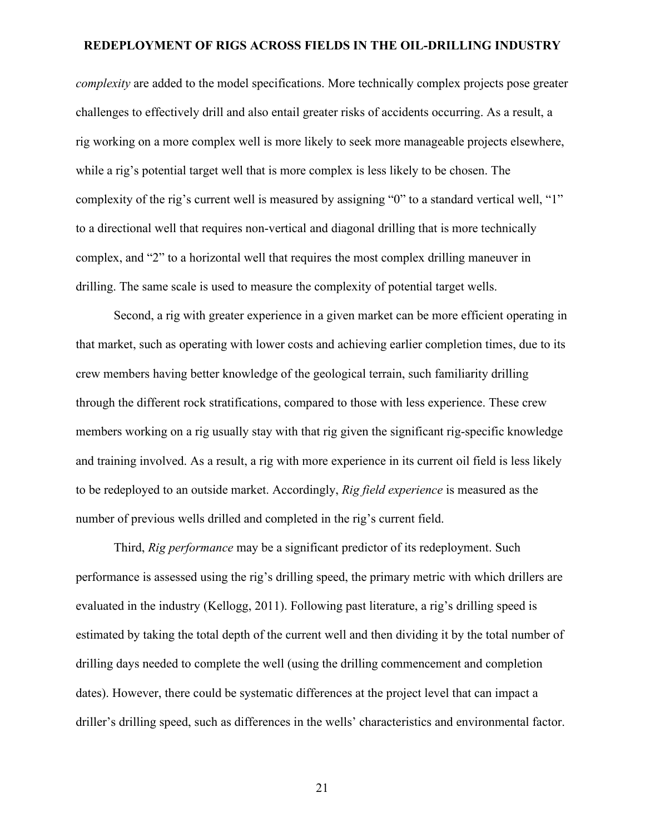*complexity* are added to the model specifications. More technically complex projects pose greater challenges to effectively drill and also entail greater risks of accidents occurring. As a result, a rig working on a more complex well is more likely to seek more manageable projects elsewhere, while a rig's potential target well that is more complex is less likely to be chosen. The complexity of the rig's current well is measured by assigning "0" to a standard vertical well, "1" to a directional well that requires non-vertical and diagonal drilling that is more technically complex, and "2" to a horizontal well that requires the most complex drilling maneuver in drilling. The same scale is used to measure the complexity of potential target wells.

Second, a rig with greater experience in a given market can be more efficient operating in that market, such as operating with lower costs and achieving earlier completion times, due to its crew members having better knowledge of the geological terrain, such familiarity drilling through the different rock stratifications, compared to those with less experience. These crew members working on a rig usually stay with that rig given the significant rig-specific knowledge and training involved. As a result, a rig with more experience in its current oil field is less likely to be redeployed to an outside market. Accordingly, *Rig field experience* is measured as the number of previous wells drilled and completed in the rig's current field.

Third, *Rig performance* may be a significant predictor of its redeployment. Such performance is assessed using the rig's drilling speed, the primary metric with which drillers are evaluated in the industry (Kellogg, 2011). Following past literature, a rig's drilling speed is estimated by taking the total depth of the current well and then dividing it by the total number of drilling days needed to complete the well (using the drilling commencement and completion dates). However, there could be systematic differences at the project level that can impact a driller's drilling speed, such as differences in the wells' characteristics and environmental factor.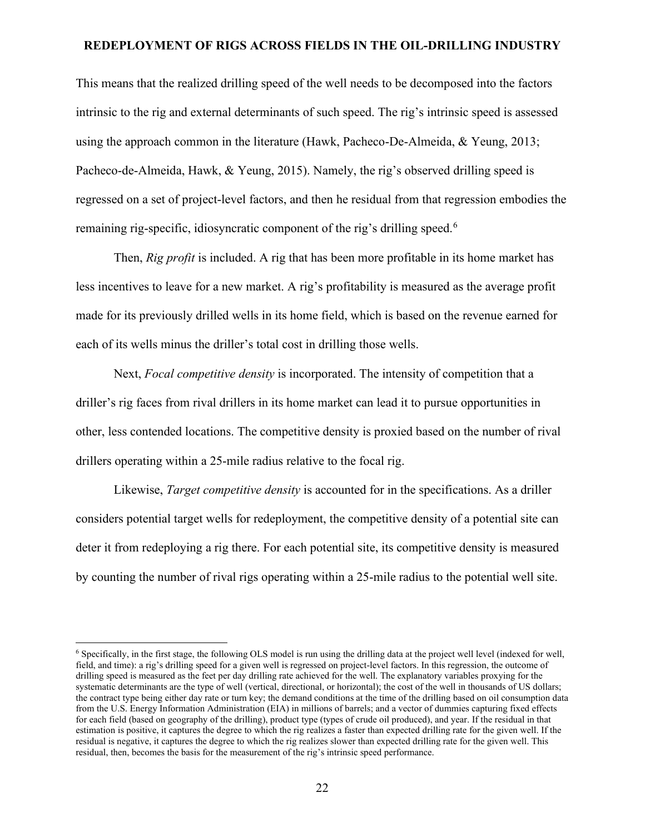This means that the realized drilling speed of the well needs to be decomposed into the factors intrinsic to the rig and external determinants of such speed. The rig's intrinsic speed is assessed using the approach common in the literature (Hawk, Pacheco-De-Almeida, & Yeung, 2013; Pacheco-de-Almeida, Hawk, & Yeung, 2015). Namely, the rig's observed drilling speed is regressed on a set of project-level factors, and then he residual from that regression embodies the remaining rig-specific, idiosyncratic component of the rig's drilling speed.<sup>[6](#page-21-0)</sup>

Then, *Rig profit* is included. A rig that has been more profitable in its home market has less incentives to leave for a new market. A rig's profitability is measured as the average profit made for its previously drilled wells in its home field, which is based on the revenue earned for each of its wells minus the driller's total cost in drilling those wells.

Next, *Focal competitive density* is incorporated. The intensity of competition that a driller's rig faces from rival drillers in its home market can lead it to pursue opportunities in other, less contended locations. The competitive density is proxied based on the number of rival drillers operating within a 25-mile radius relative to the focal rig.

Likewise, *Target competitive density* is accounted for in the specifications. As a driller considers potential target wells for redeployment, the competitive density of a potential site can deter it from redeploying a rig there. For each potential site, its competitive density is measured by counting the number of rival rigs operating within a 25-mile radius to the potential well site.

<span id="page-21-0"></span><sup>6</sup> Specifically, in the first stage, the following OLS model is run using the drilling data at the project well level (indexed for well, field, and time): a rig's drilling speed for a given well is regressed on project-level factors. In this regression, the outcome of drilling speed is measured as the feet per day drilling rate achieved for the well. The explanatory variables proxying for the systematic determinants are the type of well (vertical, directional, or horizontal); the cost of the well in thousands of US dollars; the contract type being either day rate or turn key; the demand conditions at the time of the drilling based on oil consumption data from the U.S. Energy Information Administration (EIA) in millions of barrels; and a vector of dummies capturing fixed effects for each field (based on geography of the drilling), product type (types of crude oil produced), and year. If the residual in that estimation is positive, it captures the degree to which the rig realizes a faster than expected drilling rate for the given well. If the residual is negative, it captures the degree to which the rig realizes slower than expected drilling rate for the given well. This residual, then, becomes the basis for the measurement of the rig's intrinsic speed performance.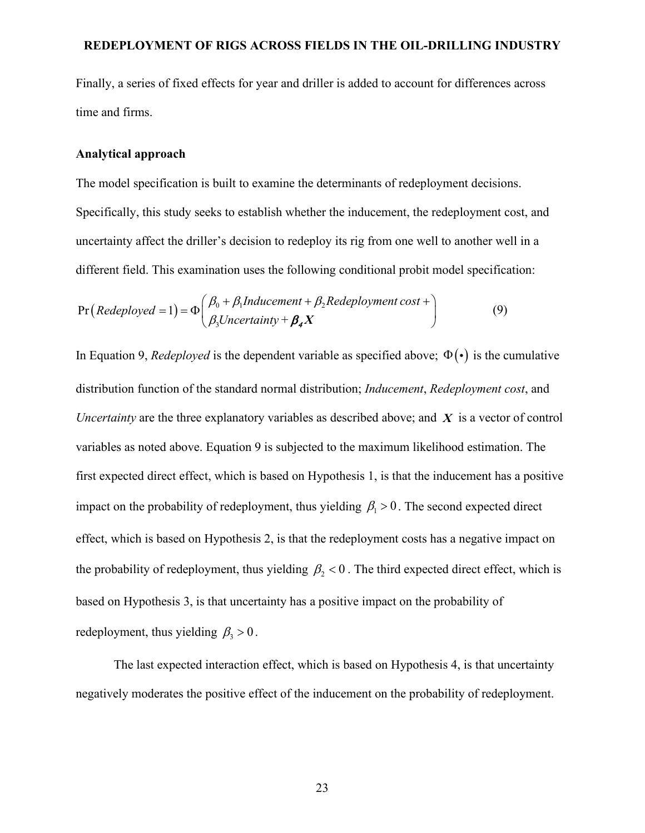Finally, a series of fixed effects for year and driller is added to account for differences across time and firms.

#### **Analytical approach**

The model specification is built to examine the determinants of redeployment decisions. Specifically, this study seeks to establish whether the inducement, the redeployment cost, and uncertainty affect the driller's decision to redeploy its rig from one well to another well in a different field. This examination uses the following conditional probit model specification:

$$
Pr(Redeployd = 1) = \Phi\left(\frac{\beta_0 + \beta_1 Inducement + \beta_2 Redeployment cost +}{\beta_3 Uncertainty + \beta_4 X}\right)
$$
(9)

In Equation 9, *Redeployed* is the dependent variable as specified above;  $\Phi(\cdot)$  is the cumulative distribution function of the standard normal distribution; *Inducement*, *Redeployment cost*, and *Uncertainty* are the three explanatory variables as described above; and *X* is a vector of control variables as noted above. Equation 9 is subjected to the maximum likelihood estimation. The first expected direct effect, which is based on Hypothesis 1, is that the inducement has a positive impact on the probability of redeployment, thus yielding  $\beta_1 > 0$ . The second expected direct effect, which is based on Hypothesis 2, is that the redeployment costs has a negative impact on the probability of redeployment, thus yielding  $\beta_2 < 0$ . The third expected direct effect, which is based on Hypothesis 3, is that uncertainty has a positive impact on the probability of redeployment, thus yielding  $\beta_3 > 0$ .

The last expected interaction effect, which is based on Hypothesis 4, is that uncertainty negatively moderates the positive effect of the inducement on the probability of redeployment.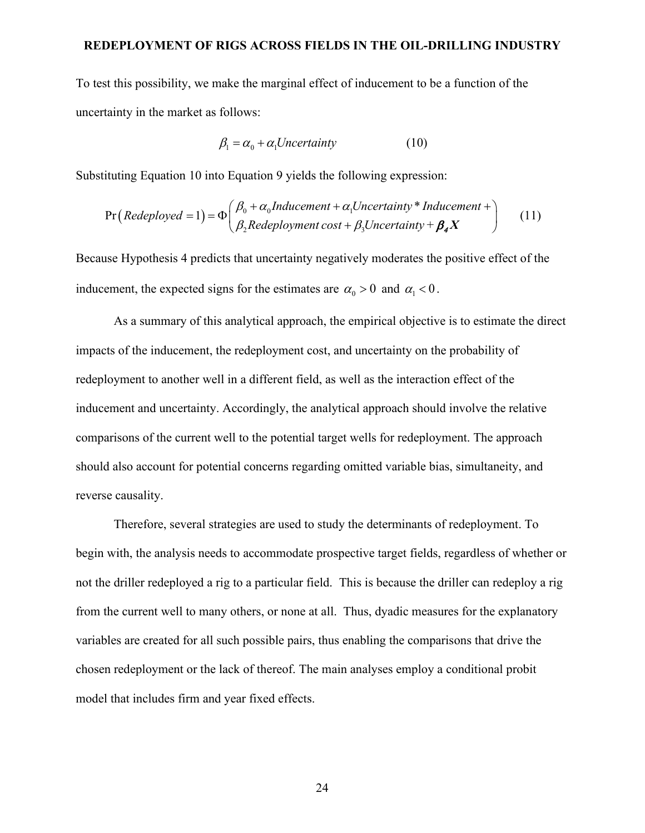To test this possibility, we make the marginal effect of inducement to be a function of the uncertainty in the market as follows:

$$
\beta_1 = \alpha_0 + \alpha_1 Uncertainty \tag{10}
$$

Substituting Equation 10 into Equation 9 yields the following expression:

$$
Pr(Redeployd = 1) = \Phi\left(\frac{\beta_0 + \alpha_0 Inducement + \alpha_1 Uncertainty * Inducement + }{\beta_2 Redeployment cost + \beta_3 Uncertainty + \beta_4 X}\right)
$$
 (11)

Because Hypothesis 4 predicts that uncertainty negatively moderates the positive effect of the inducement, the expected signs for the estimates are  $\alpha_0 > 0$  and  $\alpha_1 < 0$ .

As a summary of this analytical approach, the empirical objective is to estimate the direct impacts of the inducement, the redeployment cost, and uncertainty on the probability of redeployment to another well in a different field, as well as the interaction effect of the inducement and uncertainty. Accordingly, the analytical approach should involve the relative comparisons of the current well to the potential target wells for redeployment. The approach should also account for potential concerns regarding omitted variable bias, simultaneity, and reverse causality.

Therefore, several strategies are used to study the determinants of redeployment. To begin with, the analysis needs to accommodate prospective target fields, regardless of whether or not the driller redeployed a rig to a particular field. This is because the driller can redeploy a rig from the current well to many others, or none at all. Thus, dyadic measures for the explanatory variables are created for all such possible pairs, thus enabling the comparisons that drive the chosen redeployment or the lack of thereof. The main analyses employ a conditional probit model that includes firm and year fixed effects.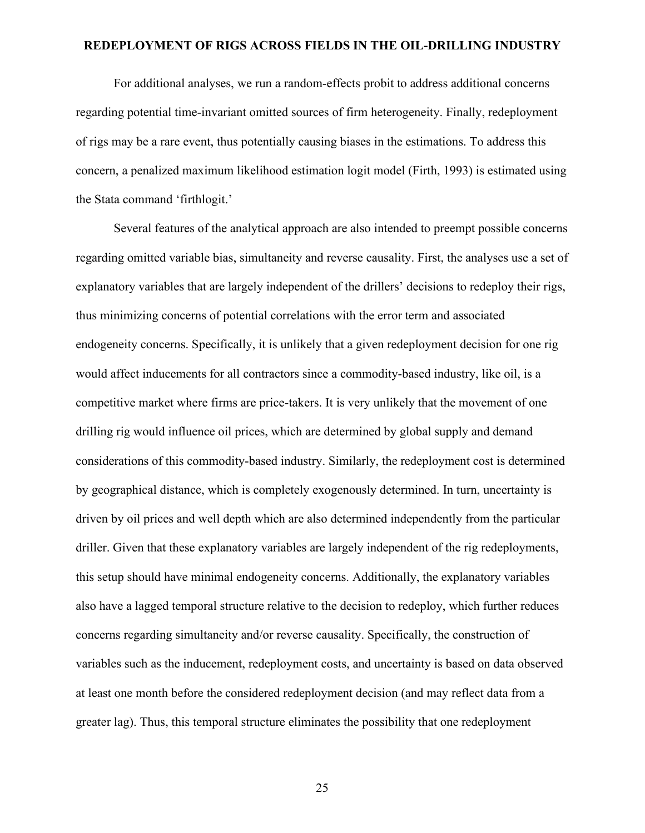For additional analyses, we run a random-effects probit to address additional concerns regarding potential time-invariant omitted sources of firm heterogeneity. Finally, redeployment of rigs may be a rare event, thus potentially causing biases in the estimations. To address this concern, a penalized maximum likelihood estimation logit model (Firth, 1993) is estimated using the Stata command 'firthlogit.'

Several features of the analytical approach are also intended to preempt possible concerns regarding omitted variable bias, simultaneity and reverse causality. First, the analyses use a set of explanatory variables that are largely independent of the drillers' decisions to redeploy their rigs, thus minimizing concerns of potential correlations with the error term and associated endogeneity concerns. Specifically, it is unlikely that a given redeployment decision for one rig would affect inducements for all contractors since a commodity-based industry, like oil, is a competitive market where firms are price-takers. It is very unlikely that the movement of one drilling rig would influence oil prices, which are determined by global supply and demand considerations of this commodity-based industry. Similarly, the redeployment cost is determined by geographical distance, which is completely exogenously determined. In turn, uncertainty is driven by oil prices and well depth which are also determined independently from the particular driller. Given that these explanatory variables are largely independent of the rig redeployments, this setup should have minimal endogeneity concerns. Additionally, the explanatory variables also have a lagged temporal structure relative to the decision to redeploy, which further reduces concerns regarding simultaneity and/or reverse causality. Specifically, the construction of variables such as the inducement, redeployment costs, and uncertainty is based on data observed at least one month before the considered redeployment decision (and may reflect data from a greater lag). Thus, this temporal structure eliminates the possibility that one redeployment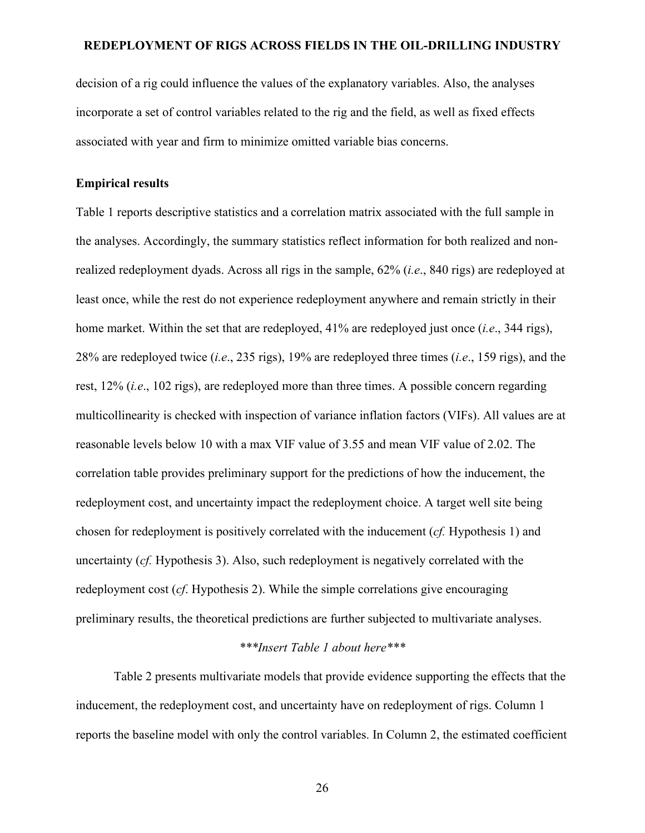decision of a rig could influence the values of the explanatory variables. Also, the analyses incorporate a set of control variables related to the rig and the field, as well as fixed effects associated with year and firm to minimize omitted variable bias concerns.

## **Empirical results**

Table 1 reports descriptive statistics and a correlation matrix associated with the full sample in the analyses. Accordingly, the summary statistics reflect information for both realized and nonrealized redeployment dyads. Across all rigs in the sample, 62% (*i.e*., 840 rigs) are redeployed at least once, while the rest do not experience redeployment anywhere and remain strictly in their home market. Within the set that are redeployed, 41% are redeployed just once (*i.e*., 344 rigs), 28% are redeployed twice (*i.e*., 235 rigs), 19% are redeployed three times (*i.e*., 159 rigs), and the rest, 12% (*i.e*., 102 rigs), are redeployed more than three times. A possible concern regarding multicollinearity is checked with inspection of variance inflation factors (VIFs). All values are at reasonable levels below 10 with a max VIF value of 3.55 and mean VIF value of 2.02. The correlation table provides preliminary support for the predictions of how the inducement, the redeployment cost, and uncertainty impact the redeployment choice. A target well site being chosen for redeployment is positively correlated with the inducement (*cf.* Hypothesis 1) and uncertainty (*cf.* Hypothesis 3). Also, such redeployment is negatively correlated with the redeployment cost (*cf*. Hypothesis 2). While the simple correlations give encouraging preliminary results, the theoretical predictions are further subjected to multivariate analyses.

## *\*\*\*Insert Table 1 about here\*\*\**

Table 2 presents multivariate models that provide evidence supporting the effects that the inducement, the redeployment cost, and uncertainty have on redeployment of rigs. Column 1 reports the baseline model with only the control variables. In Column 2, the estimated coefficient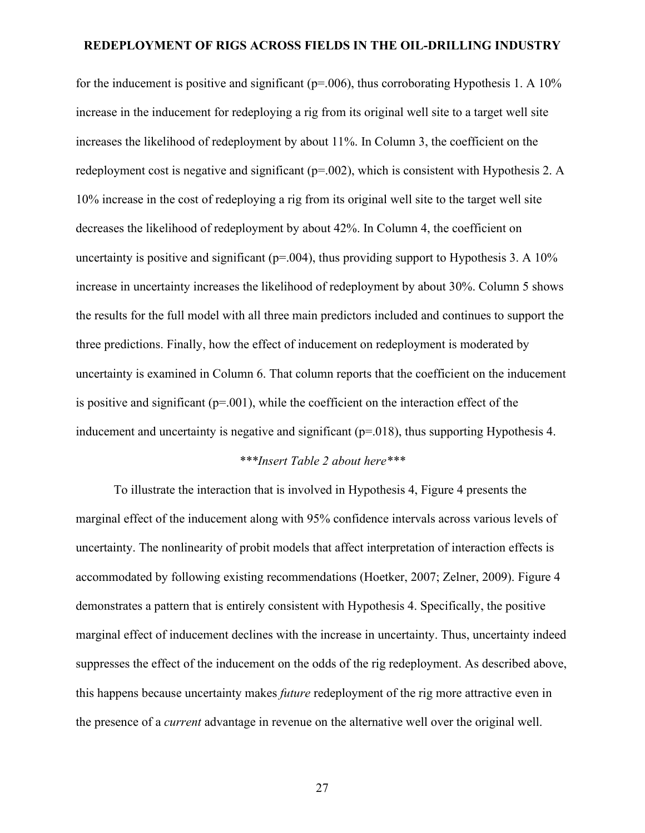for the inducement is positive and significant ( $p=.006$ ), thus corroborating Hypothesis 1. A 10% increase in the inducement for redeploying a rig from its original well site to a target well site increases the likelihood of redeployment by about 11%. In Column 3, the coefficient on the redeployment cost is negative and significant ( $p=.002$ ), which is consistent with Hypothesis 2. A 10% increase in the cost of redeploying a rig from its original well site to the target well site decreases the likelihood of redeployment by about 42%. In Column 4, the coefficient on uncertainty is positive and significant ( $p=.004$ ), thus providing support to Hypothesis 3. A 10% increase in uncertainty increases the likelihood of redeployment by about 30%. Column 5 shows the results for the full model with all three main predictors included and continues to support the three predictions. Finally, how the effect of inducement on redeployment is moderated by uncertainty is examined in Column 6. That column reports that the coefficient on the inducement is positive and significant ( $p=0.01$ ), while the coefficient on the interaction effect of the inducement and uncertainty is negative and significant ( $p=018$ ), thus supporting Hypothesis 4.

## *\*\*\*Insert Table 2 about here\*\*\**

To illustrate the interaction that is involved in Hypothesis 4, Figure 4 presents the marginal effect of the inducement along with 95% confidence intervals across various levels of uncertainty. The nonlinearity of probit models that affect interpretation of interaction effects is accommodated by following existing recommendations (Hoetker, 2007; Zelner, 2009). Figure 4 demonstrates a pattern that is entirely consistent with Hypothesis 4. Specifically, the positive marginal effect of inducement declines with the increase in uncertainty. Thus, uncertainty indeed suppresses the effect of the inducement on the odds of the rig redeployment. As described above, this happens because uncertainty makes *future* redeployment of the rig more attractive even in the presence of a *current* advantage in revenue on the alternative well over the original well.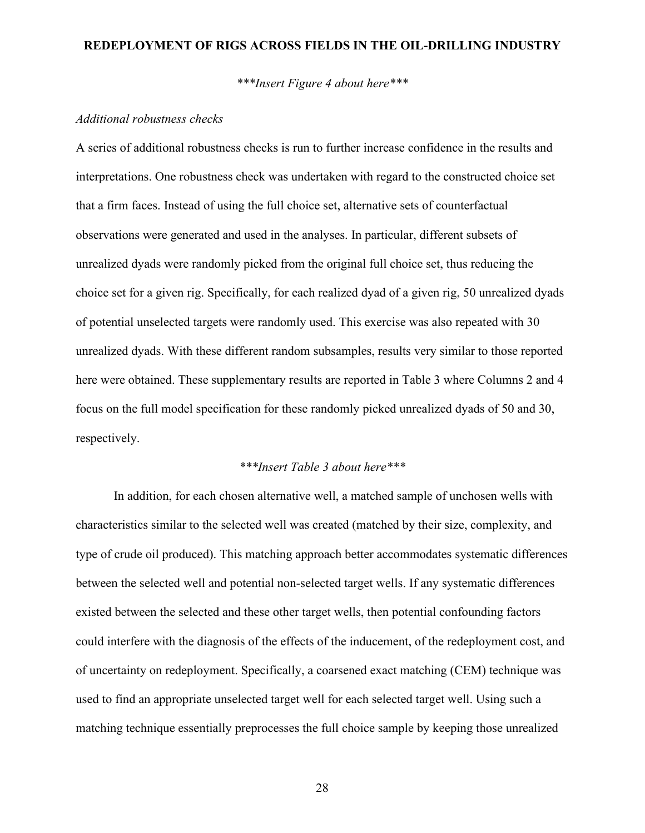*\*\*\*Insert Figure 4 about here\*\*\**

#### *Additional robustness checks*

A series of additional robustness checks is run to further increase confidence in the results and interpretations. One robustness check was undertaken with regard to the constructed choice set that a firm faces. Instead of using the full choice set, alternative sets of counterfactual observations were generated and used in the analyses. In particular, different subsets of unrealized dyads were randomly picked from the original full choice set, thus reducing the choice set for a given rig. Specifically, for each realized dyad of a given rig, 50 unrealized dyads of potential unselected targets were randomly used. This exercise was also repeated with 30 unrealized dyads. With these different random subsamples, results very similar to those reported here were obtained. These supplementary results are reported in Table 3 where Columns 2 and 4 focus on the full model specification for these randomly picked unrealized dyads of 50 and 30, respectively.

#### *\*\*\*Insert Table 3 about here\*\*\**

In addition, for each chosen alternative well, a matched sample of unchosen wells with characteristics similar to the selected well was created (matched by their size, complexity, and type of crude oil produced). This matching approach better accommodates systematic differences between the selected well and potential non-selected target wells. If any systematic differences existed between the selected and these other target wells, then potential confounding factors could interfere with the diagnosis of the effects of the inducement, of the redeployment cost, and of uncertainty on redeployment. Specifically, a coarsened exact matching (CEM) technique was used to find an appropriate unselected target well for each selected target well. Using such a matching technique essentially preprocesses the full choice sample by keeping those unrealized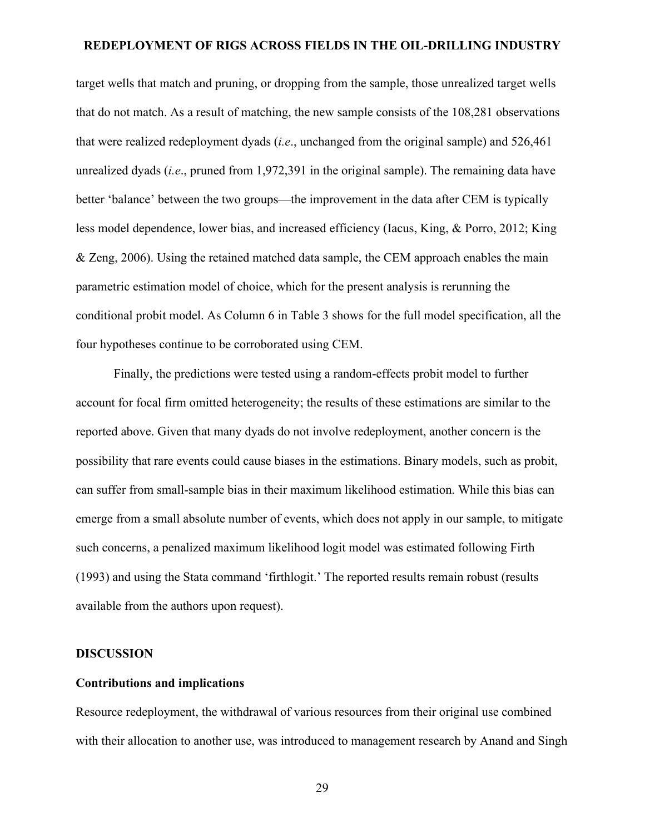target wells that match and pruning, or dropping from the sample, those unrealized target wells that do not match. As a result of matching, the new sample consists of the 108,281 observations that were realized redeployment dyads (*i.e*., unchanged from the original sample) and 526,461 unrealized dyads (*i.e*., pruned from 1,972,391 in the original sample). The remaining data have better 'balance' between the two groups—the improvement in the data after CEM is typically less model dependence, lower bias, and increased efficiency (Iacus, King, & Porro, 2012; King & Zeng, 2006). Using the retained matched data sample, the CEM approach enables the main parametric estimation model of choice, which for the present analysis is rerunning the conditional probit model. As Column 6 in Table 3 shows for the full model specification, all the four hypotheses continue to be corroborated using CEM.

Finally, the predictions were tested using a random-effects probit model to further account for focal firm omitted heterogeneity; the results of these estimations are similar to the reported above. Given that many dyads do not involve redeployment, another concern is the possibility that rare events could cause biases in the estimations. Binary models, such as probit, can suffer from small-sample bias in their maximum likelihood estimation. While this bias can emerge from a small absolute number of events, which does not apply in our sample, to mitigate such concerns, a penalized maximum likelihood logit model was estimated following Firth (1993) and using the Stata command 'firthlogit.' The reported results remain robust (results available from the authors upon request).

#### **DISCUSSION**

#### **Contributions and implications**

Resource redeployment, the withdrawal of various resources from their original use combined with their allocation to another use, was introduced to management research by Anand and Singh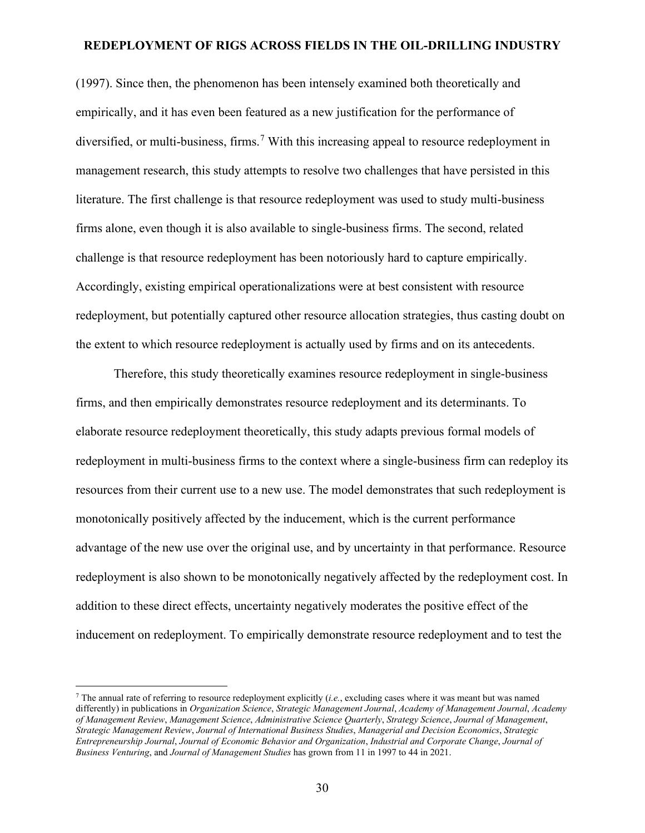(1997). Since then, the phenomenon has been intensely examined both theoretically and empirically, and it has even been featured as a new justification for the performance of diversified, or multi-business, firms. [7](#page-29-0) With this increasing appeal to resource redeployment in management research, this study attempts to resolve two challenges that have persisted in this literature. The first challenge is that resource redeployment was used to study multi-business firms alone, even though it is also available to single-business firms. The second, related challenge is that resource redeployment has been notoriously hard to capture empirically. Accordingly, existing empirical operationalizations were at best consistent with resource redeployment, but potentially captured other resource allocation strategies, thus casting doubt on the extent to which resource redeployment is actually used by firms and on its antecedents.

Therefore, this study theoretically examines resource redeployment in single-business firms, and then empirically demonstrates resource redeployment and its determinants. To elaborate resource redeployment theoretically, this study adapts previous formal models of redeployment in multi-business firms to the context where a single-business firm can redeploy its resources from their current use to a new use. The model demonstrates that such redeployment is monotonically positively affected by the inducement, which is the current performance advantage of the new use over the original use, and by uncertainty in that performance. Resource redeployment is also shown to be monotonically negatively affected by the redeployment cost. In addition to these direct effects, uncertainty negatively moderates the positive effect of the inducement on redeployment. To empirically demonstrate resource redeployment and to test the

<span id="page-29-0"></span><sup>7</sup> The annual rate of referring to resource redeployment explicitly (*i.e.*, excluding cases where it was meant but was named differently) in publications in *Organization Science*, *Strategic Management Journal*, *Academy of Management Journal*, *Academy of Management Review*, *Management Science*, *Administrative Science Quarterly*, *Strategy Science*, *Journal of Management*, *Strategic Management Review*, *Journal of International Business Studies*, *Managerial and Decision Economics*, *Strategic Entrepreneurship Journal*, *Journal of Economic Behavior and Organization*, *Industrial and Corporate Change*, *Journal of Business Venturing*, and *Journal of Management Studies* has grown from 11 in 1997 to 44 in 2021.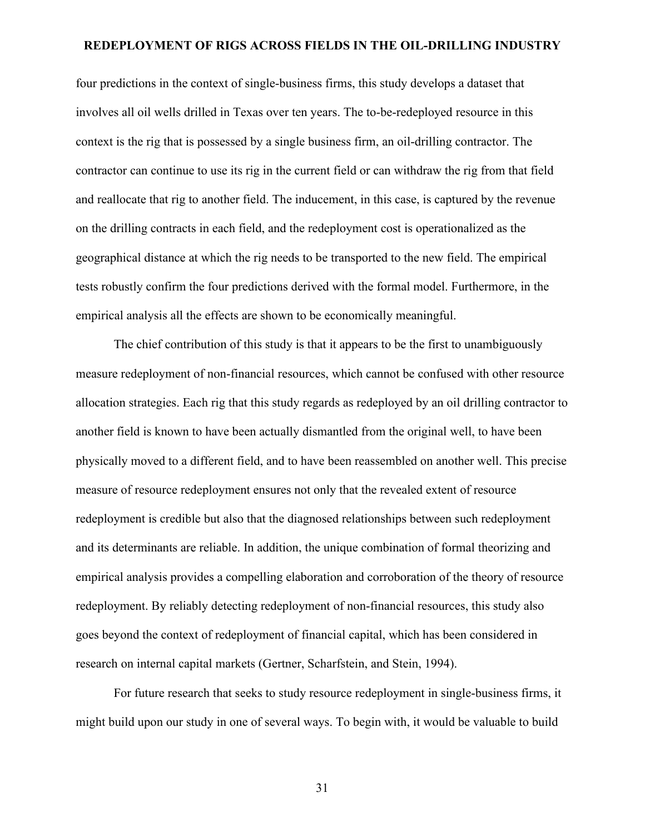four predictions in the context of single-business firms, this study develops a dataset that involves all oil wells drilled in Texas over ten years. The to-be-redeployed resource in this context is the rig that is possessed by a single business firm, an oil-drilling contractor. The contractor can continue to use its rig in the current field or can withdraw the rig from that field and reallocate that rig to another field. The inducement, in this case, is captured by the revenue on the drilling contracts in each field, and the redeployment cost is operationalized as the geographical distance at which the rig needs to be transported to the new field. The empirical tests robustly confirm the four predictions derived with the formal model. Furthermore, in the empirical analysis all the effects are shown to be economically meaningful.

The chief contribution of this study is that it appears to be the first to unambiguously measure redeployment of non-financial resources, which cannot be confused with other resource allocation strategies. Each rig that this study regards as redeployed by an oil drilling contractor to another field is known to have been actually dismantled from the original well, to have been physically moved to a different field, and to have been reassembled on another well. This precise measure of resource redeployment ensures not only that the revealed extent of resource redeployment is credible but also that the diagnosed relationships between such redeployment and its determinants are reliable. In addition, the unique combination of formal theorizing and empirical analysis provides a compelling elaboration and corroboration of the theory of resource redeployment. By reliably detecting redeployment of non-financial resources, this study also goes beyond the context of redeployment of financial capital, which has been considered in research on internal capital markets (Gertner, Scharfstein, and Stein, 1994).

For future research that seeks to study resource redeployment in single-business firms, it might build upon our study in one of several ways. To begin with, it would be valuable to build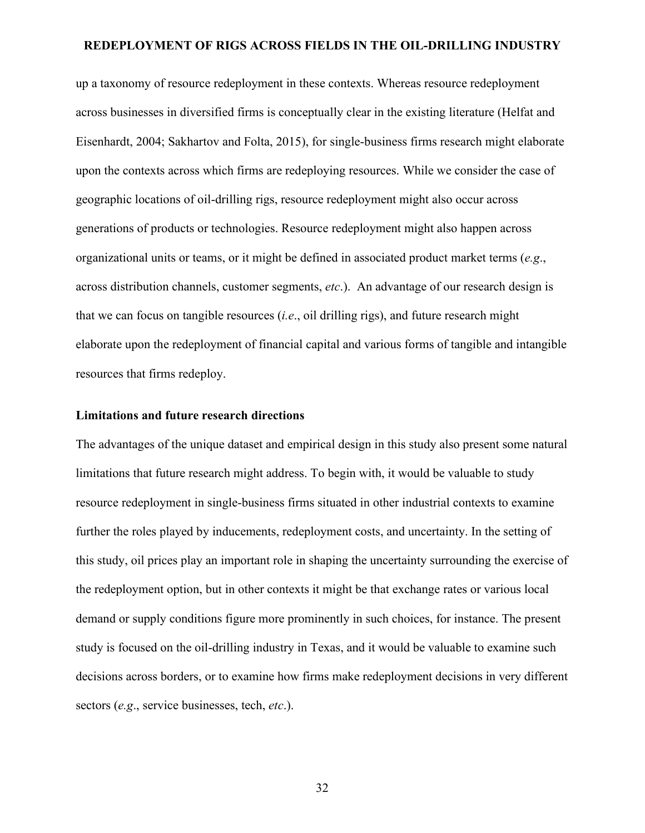up a taxonomy of resource redeployment in these contexts. Whereas resource redeployment across businesses in diversified firms is conceptually clear in the existing literature (Helfat and Eisenhardt, 2004; Sakhartov and Folta, 2015), for single-business firms research might elaborate upon the contexts across which firms are redeploying resources. While we consider the case of geographic locations of oil-drilling rigs, resource redeployment might also occur across generations of products or technologies. Resource redeployment might also happen across organizational units or teams, or it might be defined in associated product market terms (*e.g*., across distribution channels, customer segments, *etc*.). An advantage of our research design is that we can focus on tangible resources (*i.e*., oil drilling rigs), and future research might elaborate upon the redeployment of financial capital and various forms of tangible and intangible resources that firms redeploy.

#### **Limitations and future research directions**

The advantages of the unique dataset and empirical design in this study also present some natural limitations that future research might address. To begin with, it would be valuable to study resource redeployment in single-business firms situated in other industrial contexts to examine further the roles played by inducements, redeployment costs, and uncertainty. In the setting of this study, oil prices play an important role in shaping the uncertainty surrounding the exercise of the redeployment option, but in other contexts it might be that exchange rates or various local demand or supply conditions figure more prominently in such choices, for instance. The present study is focused on the oil-drilling industry in Texas, and it would be valuable to examine such decisions across borders, or to examine how firms make redeployment decisions in very different sectors (*e.g*., service businesses, tech, *etc*.).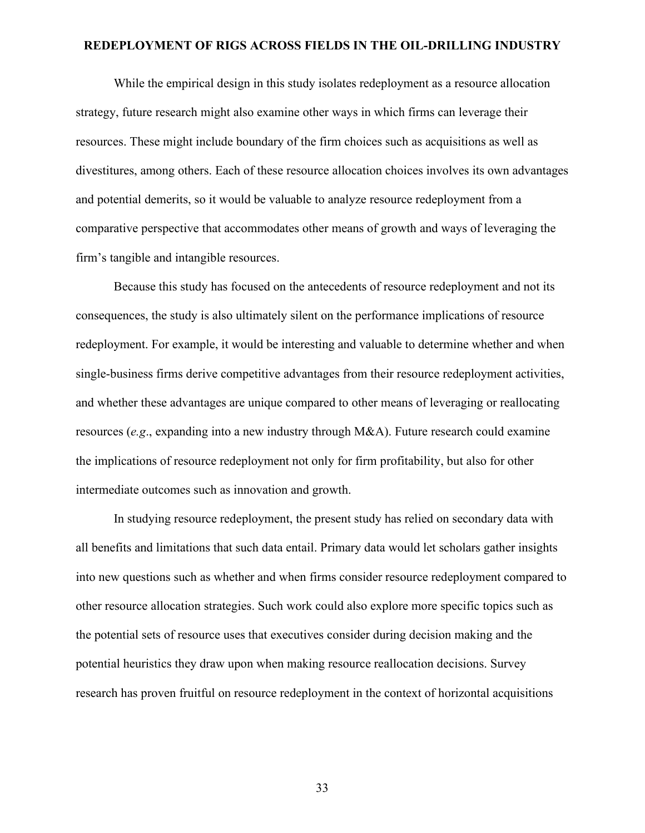While the empirical design in this study isolates redeployment as a resource allocation strategy, future research might also examine other ways in which firms can leverage their resources. These might include boundary of the firm choices such as acquisitions as well as divestitures, among others. Each of these resource allocation choices involves its own advantages and potential demerits, so it would be valuable to analyze resource redeployment from a comparative perspective that accommodates other means of growth and ways of leveraging the firm's tangible and intangible resources.

Because this study has focused on the antecedents of resource redeployment and not its consequences, the study is also ultimately silent on the performance implications of resource redeployment. For example, it would be interesting and valuable to determine whether and when single-business firms derive competitive advantages from their resource redeployment activities, and whether these advantages are unique compared to other means of leveraging or reallocating resources (*e.g*., expanding into a new industry through M&A). Future research could examine the implications of resource redeployment not only for firm profitability, but also for other intermediate outcomes such as innovation and growth.

In studying resource redeployment, the present study has relied on secondary data with all benefits and limitations that such data entail. Primary data would let scholars gather insights into new questions such as whether and when firms consider resource redeployment compared to other resource allocation strategies. Such work could also explore more specific topics such as the potential sets of resource uses that executives consider during decision making and the potential heuristics they draw upon when making resource reallocation decisions. Survey research has proven fruitful on resource redeployment in the context of horizontal acquisitions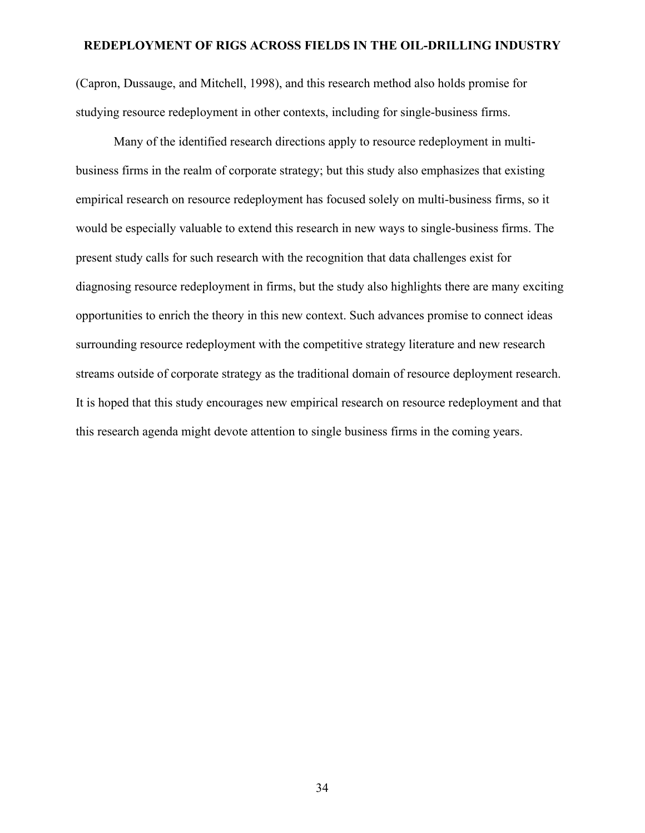(Capron, Dussauge, and Mitchell, 1998), and this research method also holds promise for studying resource redeployment in other contexts, including for single-business firms.

Many of the identified research directions apply to resource redeployment in multibusiness firms in the realm of corporate strategy; but this study also emphasizes that existing empirical research on resource redeployment has focused solely on multi-business firms, so it would be especially valuable to extend this research in new ways to single-business firms. The present study calls for such research with the recognition that data challenges exist for diagnosing resource redeployment in firms, but the study also highlights there are many exciting opportunities to enrich the theory in this new context. Such advances promise to connect ideas surrounding resource redeployment with the competitive strategy literature and new research streams outside of corporate strategy as the traditional domain of resource deployment research. It is hoped that this study encourages new empirical research on resource redeployment and that this research agenda might devote attention to single business firms in the coming years.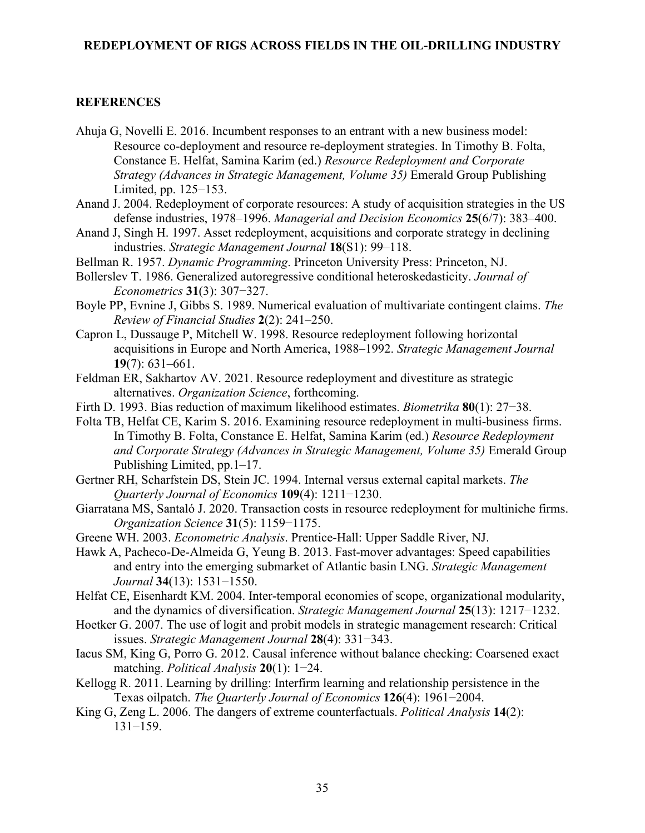## **REFERENCES**

- Ahuja G, Novelli E. 2016. Incumbent responses to an entrant with a new business model: Resource co-deployment and resource re-deployment strategies. In Timothy B. Folta, Constance E. Helfat, Samina Karim (ed.) *Resource Redeployment and Corporate Strategy (Advances in Strategic Management, Volume 35)* Emerald Group Publishing Limited, pp. 125−153.
- Anand J. 2004. Redeployment of corporate resources: A study of acquisition strategies in the US defense industries, 1978–1996. *Managerial and Decision Economics* **25**(6/7): 383–400.
- Anand J, Singh H. 1997. Asset redeployment, acquisitions and corporate strategy in declining industries. *Strategic Management Journal* **18**(S1): 99–118.
- Bellman R. 1957. *Dynamic Programming*. Princeton University Press: Princeton, NJ.
- Bollerslev T. 1986. Generalized autoregressive conditional heteroskedasticity. *Journal of Econometrics* **31**(3): 307−327.
- Boyle PP, Evnine J, Gibbs S. 1989. Numerical evaluation of multivariate contingent claims. *The Review of Financial Studies* **2**(2): 241–250.
- Capron L, Dussauge P, Mitchell W. 1998. Resource redeployment following horizontal acquisitions in Europe and North America, 1988–1992. *Strategic Management Journal* **19**(7): 631–661.
- Feldman ER, Sakhartov AV. 2021. Resource redeployment and divestiture as strategic alternatives. *Organization Science*, forthcoming.
- Firth D. 1993. Bias reduction of maximum likelihood estimates. *Biometrika* **80**(1): 27−38.
- [Folta TB,](https://www.emeraldinsight.com/author/Miller%2C+Douglas+J) [Helfat CE, Karim S. 2](https://www.emeraldinsight.com/author/Yang%2C+Hsiao-shan)016. Examining resource redeployment in multi-business firms. In Timothy B. Folta, Constance E. Helfat, Samina Karim (ed.) *Resource Redeployment and Corporate Strategy (Advances in Strategic Management, Volume 35)* Emerald Group Publishing Limited, pp.1–17.
- Gertner RH, Scharfstein DS, Stein JC. 1994. Internal versus external capital markets. *The Quarterly Journal of Economics* **109**(4): 1211−1230.
- Giarratana MS, Santaló J. 2020. Transaction costs in resource redeployment for multiniche firms. *Organization Science* **31**(5): 1159−1175.
- Greene WH. 2003. *Econometric Analysis*. Prentice-Hall: Upper Saddle River, NJ.
- Hawk A, Pacheco-De-Almeida G, Yeung B. 2013. Fast-mover advantages: Speed capabilities and entry into the emerging submarket of Atlantic basin LNG. *Strategic Management Journal* **34**(13): 1531−1550.
- Helfat CE, Eisenhardt KM. 2004. Inter-temporal economies of scope, organizational modularity, and the dynamics of diversification. *Strategic Management Journal* **25**(13): 1217−1232.
- Hoetker G. 2007. The use of logit and probit models in strategic management research: Critical issues. *Strategic Management Journal* **28**(4): 331−343.
- Iacus SM, King G, Porro G. 2012. Causal inference without balance checking: Coarsened exact matching. *Political Analysis* **20**(1): 1−24.
- Kellogg R. 2011. Learning by drilling: Interfirm learning and relationship persistence in the Texas oilpatch. *The Quarterly Journal of Economics* **126**(4): 1961−2004.
- King G, Zeng L. 2006. The dangers of extreme counterfactuals. *Political Analysis* **14**(2): 131−159.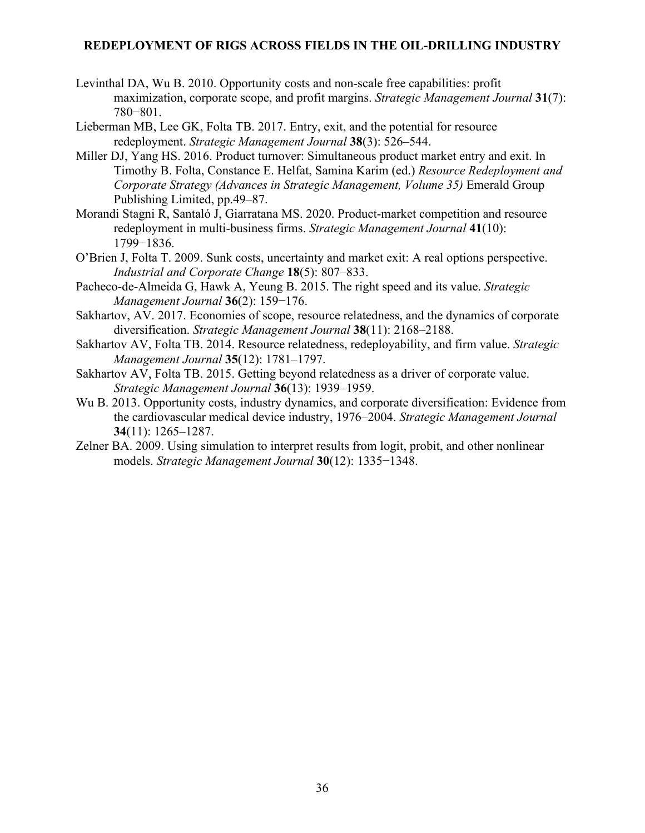- Levinthal DA, Wu B. 2010. Opportunity costs and non‐scale free capabilities: profit maximization, corporate scope, and profit margins. *Strategic Management Journal* **31**(7): 780−801.
- Lieberman MB, Lee GK, Folta TB. 2017. Entry, exit, and the potential for resource redeployment. *Strategic Management Journal* **38**(3): 526–544.
- [Miller DJ,](https://www.emeraldinsight.com/author/Miller%2C+Douglas+J) [Yang HS. 2](https://www.emeraldinsight.com/author/Yang%2C+Hsiao-shan)016. Product turnover: Simultaneous product market entry and exit. In Timothy B. Folta, Constance E. Helfat, Samina Karim (ed.) *Resource Redeployment and Corporate Strategy (Advances in Strategic Management, Volume 35)* Emerald Group Publishing Limited, pp.49–87.
- Morandi Stagni R, Santaló J, Giarratana MS. 2020. Product‐market competition and resource redeployment in multi‐business firms. *Strategic Management Journal* **41**(10): 1799−1836.
- O'Brien J, Folta T. 2009. Sunk costs, uncertainty and market exit: A real options perspective. *Industrial and Corporate Change* **18**(5): 807–833.
- Pacheco-de-Almeida G, Hawk A, Yeung B. 2015. The right speed and its value. *Strategic Management Journal* **36**(2): 159−176.
- Sakhartov, AV. 2017. Economies of scope, resource relatedness, and the dynamics of corporate diversification. *Strategic Management Journal* **38**(11): 2168–2188.
- Sakhartov AV, Folta TB. 2014. Resource relatedness, redeployability, and firm value. *Strategic Management Journal* **35**(12): 1781–1797.
- Sakhartov AV, Folta TB. 2015. Getting beyond relatedness as a driver of corporate value. *Strategic Management Journal* **36**(13): 1939–1959.
- Wu B. 2013. Opportunity costs, industry dynamics, and corporate diversification: Evidence from the cardiovascular medical device industry, 1976–2004. *Strategic Management Journal* **34**(11): 1265–1287.
- Zelner BA. 2009. Using simulation to interpret results from logit, probit, and other nonlinear models. *Strategic Management Journal* **30**(12): 1335−1348.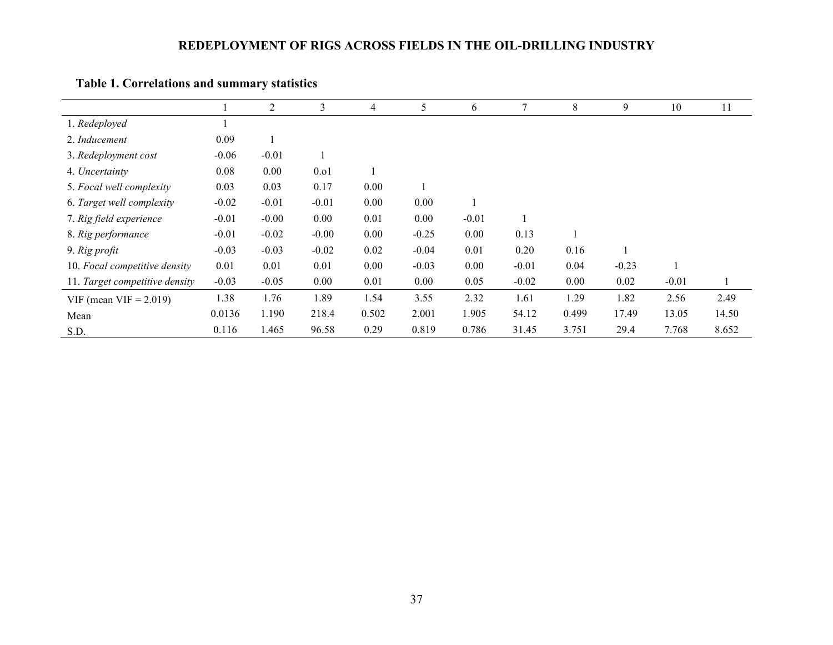|                                |         | 2       | 3       | 4     | 5       | 6       | 7       | 8        | 9       | 10      | 11    |
|--------------------------------|---------|---------|---------|-------|---------|---------|---------|----------|---------|---------|-------|
| 1. Redeployed                  |         |         |         |       |         |         |         |          |         |         |       |
| 2. Inducement                  | 0.09    |         |         |       |         |         |         |          |         |         |       |
| 3. Redeployment cost           | $-0.06$ | $-0.01$ |         |       |         |         |         |          |         |         |       |
| 4. Uncertainty                 | 0.08    | 0.00    | 0.01    |       |         |         |         |          |         |         |       |
| 5. Focal well complexity       | 0.03    | 0.03    | 0.17    | 0.00  |         |         |         |          |         |         |       |
| 6. Target well complexity      | $-0.02$ | $-0.01$ | $-0.01$ | 0.00  | 0.00    |         |         |          |         |         |       |
| 7. Rig field experience        | $-0.01$ | $-0.00$ | 0.00    | 0.01  | 0.00    | $-0.01$ |         |          |         |         |       |
| 8. Rig performance             | $-0.01$ | $-0.02$ | $-0.00$ | 0.00  | $-0.25$ | 0.00    | 0.13    |          |         |         |       |
| 9. Rig profit                  | $-0.03$ | $-0.03$ | $-0.02$ | 0.02  | $-0.04$ | 0.01    | 0.20    | 0.16     |         |         |       |
| 10. Focal competitive density  | 0.01    | 0.01    | 0.01    | 0.00  | $-0.03$ | 0.00    | $-0.01$ | 0.04     | $-0.23$ |         |       |
| 11. Target competitive density | $-0.03$ | $-0.05$ | 0.00    | 0.01  | 0.00    | 0.05    | $-0.02$ | $0.00\,$ | 0.02    | $-0.01$ |       |
| VIF (mean VIF $= 2.019$ )      | 1.38    | 1.76    | 1.89    | 1.54  | 3.55    | 2.32    | 1.61    | 1.29     | 1.82    | 2.56    | 2.49  |
| Mean                           | 0.0136  | 1.190   | 218.4   | 0.502 | 2.001   | 1.905   | 54.12   | 0.499    | 17.49   | 13.05   | 14.50 |
| S.D.                           | 0.116   | 1.465   | 96.58   | 0.29  | 0.819   | 0.786   | 31.45   | 3.751    | 29.4    | 7.768   | 8.652 |

# **Table 1. Correlations and summary statistics**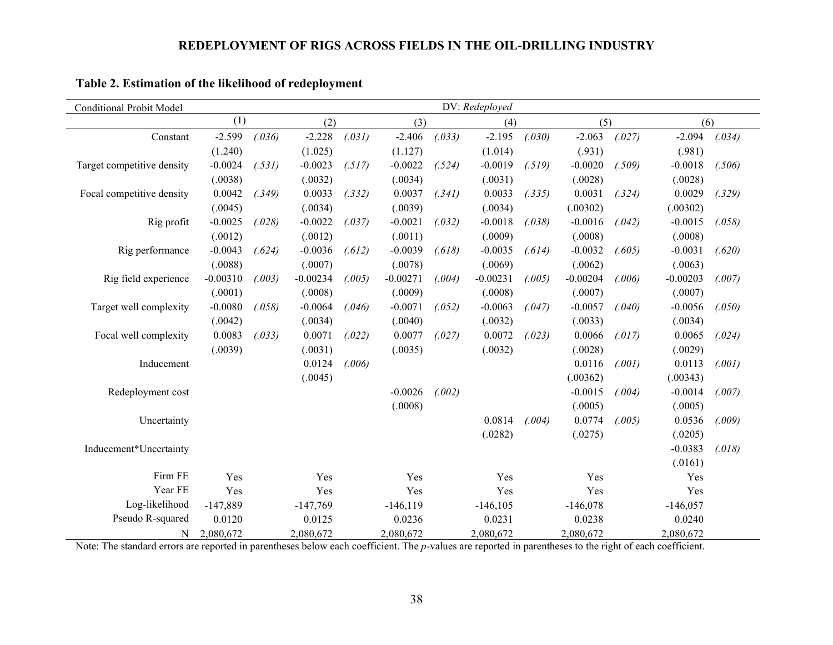| <b>Conditional Probit Model</b> | DV: Redeployed |        |            |        |             |        |             |        |            |        |            |        |
|---------------------------------|----------------|--------|------------|--------|-------------|--------|-------------|--------|------------|--------|------------|--------|
|                                 | (1)            | (2)    |            |        | (3)         |        | (4)         |        | (5)        |        | (6)        |        |
| Constant                        | $-2.599$       | (.036) | $-2.228$   | (.031) | $-2.406$    | (.033) | $-2.195$    | (.030) | $-2.063$   | (.027) | $-2.094$   | (.034) |
|                                 | (1.240)        |        | (1.025)    |        | (1.127)     |        | (1.014)     |        | (.931)     |        | (.981)     |        |
| Target competitive density      | $-0.0024$      | (.531) | $-0.0023$  | (.517) | $-0.0022$   | (.524) | $-0.0019$   | (.519) | $-0.0020$  | (.509) | $-0.0018$  | (.506) |
|                                 | (.0038)        |        | (.0032)    |        | (.0034)     |        | (.0031)     |        | (.0028)    |        | (.0028)    |        |
| Focal competitive density       | 0.0042         | (.349) | 0.0033     | (.332) | 0.0037      | (.341) | 0.0033      | (.335) | 0.0031     | (.324) | 0.0029     | (.329) |
|                                 | (.0045)        |        | (.0034)    |        | (.0039)     |        | (.0034)     |        | (.00302)   |        | (.00302)   |        |
| Rig profit                      | $-0.0025$      | (.028) | $-0.0022$  | (.037) | $-0.0021$   | (.032) | $-0.0018$   | (.038) | $-0.0016$  | (.042) | $-0.0015$  | (.058) |
|                                 | (.0012)        |        | (.0012)    |        | (.0011)     |        | (.0009)     |        | (.0008)    |        | (.0008)    |        |
| Rig performance                 | $-0.0043$      | (.624) | $-0.0036$  | (.612) | $-0.0039$   | (.618) | $-0.0035$   | (.614) | $-0.0032$  | (.605) | $-0.0031$  | (.620) |
|                                 | (.0088)        |        | (.0007)    |        | (.0078)     |        | (.0069)     |        | (.0062)    |        | (.0063)    |        |
| Rig field experience            | $-0.00310$     | (.003) | $-0.00234$ | (.005) | $-0.00271$  | (.004) | $-0.00231$  | (.005) | $-0.00204$ | (.006) | $-0.00203$ | (.007) |
|                                 | (.0001)        |        | (.0008)    |        | (.0009)     |        | (.0008)     |        | (.0007)    |        | (.0007)    |        |
| Target well complexity          | $-0.0080$      | (.058) | $-0.0064$  | (.046) | $-0.0071$   | (.052) | $-0.0063$   | (.047) | $-0.0057$  | (.040) | $-0.0056$  | (.050) |
|                                 | (.0042)        |        | (.0034)    |        | (.0040)     |        | (.0032)     |        | (.0033)    |        | (.0034)    |        |
| Focal well complexity           | 0.0083         | (.033) | 0.0071     | (.022) | 0.0077      | (.027) | 0.0072      | (.023) | 0.0066     | (.017) | 0.0065     | (.024) |
|                                 | (.0039)        |        | (.0031)    |        | (.0035)     |        | (.0032)     |        | (.0028)    |        | (.0029)    |        |
| Inducement                      |                |        | 0.0124     | (.006) |             |        |             |        | 0.0116     | (.001) | 0.0113     | (.001) |
|                                 |                |        | (.0045)    |        |             |        |             |        | (.00362)   |        | (.00343)   |        |
| Redeployment cost               |                |        |            |        | $-0.0026$   | (.002) |             |        | $-0.0015$  | (.004) | $-0.0014$  | (.007) |
|                                 |                |        |            |        | (.0008)     |        |             |        | (.0005)    |        | (.0005)    |        |
| Uncertainty                     |                |        |            |        |             |        | 0.0814      | (.004) | 0.0774     | (.005) | 0.0536     | (.009) |
|                                 |                |        |            |        |             |        | (.0282)     |        | (.0275)    |        | (.0205)    |        |
| Inducement*Uncertainty          |                |        |            |        |             |        |             |        |            |        | $-0.0383$  | (.018) |
|                                 |                |        |            |        |             |        |             |        |            |        | (.0161)    |        |
| Firm FE                         | Yes            |        | Yes        |        | Yes         |        | Yes         |        | Yes        |        | Yes        |        |
| Year FE                         | Yes            |        | Yes        |        | Yes         |        | Yes         |        | Yes        |        | Yes        |        |
| Log-likelihood                  | $-147,889$     |        | $-147,769$ |        | $-146, 119$ |        | $-146, 105$ |        | $-146,078$ |        | $-146,057$ |        |
| Pseudo R-squared                | 0.0120         |        | 0.0125     |        | 0.0236      |        | 0.0231      |        | 0.0238     |        | 0.0240     |        |
| N                               | 2,080,672      |        | 2,080,672  |        | 2,080,672   |        | 2,080,672   |        | 2,080,672  |        | 2,080,672  |        |

## **Table 2. Estimation of the likelihood of redeployment**

Note: The standard errors are reported in parentheses below each coefficient. The *p*-values are reported in parentheses to the right of each coefficient.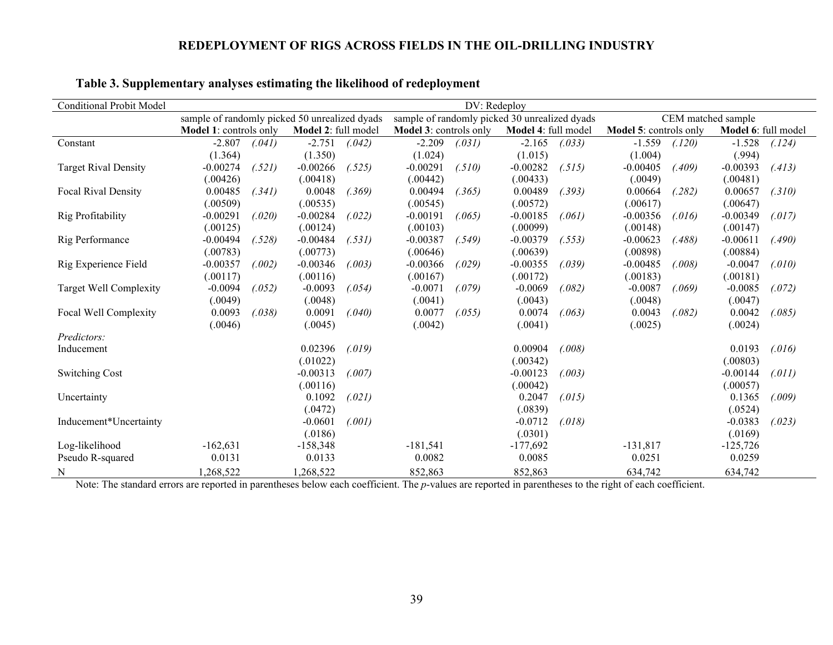| <b>Conditional Probit Model</b> | DV: Redeploy                                  |        |                     |                                               |                        |        |                     |                    |                        |        |                     |        |
|---------------------------------|-----------------------------------------------|--------|---------------------|-----------------------------------------------|------------------------|--------|---------------------|--------------------|------------------------|--------|---------------------|--------|
|                                 | sample of randomly picked 50 unrealized dyads |        |                     | sample of randomly picked 30 unrealized dyads |                        |        |                     | CEM matched sample |                        |        |                     |        |
|                                 | Model 1: controls only                        |        | Model 2: full model |                                               | Model 3: controls only |        | Model 4: full model |                    | Model 5: controls only |        | Model 6: full model |        |
| Constant                        | $-2.807$                                      | (.041) | $-2.751$            | (.042)                                        | $-2.209$               | (.031) | $-2.165$            | (.033)             | $-1.559$               | (.120) | $-1.528$            | (.124) |
|                                 | (1.364)                                       |        | (1.350)             |                                               | (1.024)                |        | (1.015)             |                    | (1.004)                |        | (.994)              |        |
| <b>Target Rival Density</b>     | $-0.00274$                                    | (.521) | $-0.00266$          | (.525)                                        | $-0.00291$             | (.510) | $-0.00282$          | (.515)             | $-0.00405$             | (.409) | $-0.00393$          | (.413) |
|                                 | (.00426)                                      |        | (.00418)            |                                               | (.00442)               |        | (.00433)            |                    | (.0049)                |        | (.00481)            |        |
| <b>Focal Rival Density</b>      | 0.00485                                       | (.341) | 0.0048              | (.369)                                        | 0.00494                | (.365) | 0.00489             | (.393)             | 0.00664                | (.282) | 0.00657             | (.310) |
|                                 | (.00509)                                      |        | (.00535)            |                                               | (.00545)               |        | (.00572)            |                    | (.00617)               |        | (.00647)            |        |
| Rig Profitability               | $-0.00291$                                    | (.020) | $-0.00284$          | (.022)                                        | $-0.00191$             | (.065) | $-0.00185$          | (.061)             | $-0.00356$             | (.016) | $-0.00349$          | (.017) |
|                                 | (.00125)                                      |        | (.00124)            |                                               | (.00103)               |        | (.00099)            |                    | (.00148)               |        | (.00147)            |        |
| Rig Performance                 | $-0.00494$                                    | (.528) | $-0.00484$          | (.531)                                        | $-0.00387$             | (.549) | $-0.00379$          | (.553)             | $-0.00623$             | (.488) | $-0.00611$          | (.490) |
|                                 | (.00783)                                      |        | (.00773)            |                                               | (.00646)               |        | (.00639)            |                    | (.00898)               |        | (.00884)            |        |
| Rig Experience Field            | $-0.00357$                                    | (.002) | $-0.00346$          | (.003)                                        | $-0.00366$             | (.029) | $-0.00355$          | (.039)             | $-0.00485$             | (.008) | $-0.0047$           | (.010) |
|                                 | (.00117)                                      |        | (.00116)            |                                               | (.00167)               |        | (.00172)            |                    | (.00183)               |        | (.00181)            |        |
| Target Well Complexity          | $-0.0094$                                     | (.052) | $-0.0093$           | (.054)                                        | $-0.0071$              | (.079) | $-0.0069$           | (.082)             | $-0.0087$              | (.069) | $-0.0085$           | (.072) |
|                                 | (.0049)                                       |        | (.0048)             |                                               | (.0041)                |        | (.0043)             |                    | (.0048)                |        | (.0047)             |        |
| Focal Well Complexity           | 0.0093                                        | (.038) | 0.0091              | (.040)                                        | 0.0077                 | (.055) | 0.0074              | (.063)             | 0.0043                 | (.082) | 0.0042              | (.085) |
|                                 | (.0046)                                       |        | (.0045)             |                                               | (.0042)                |        | (.0041)             |                    | (.0025)                |        | (.0024)             |        |
| Predictors:                     |                                               |        |                     |                                               |                        |        |                     |                    |                        |        |                     |        |
| Inducement                      |                                               |        | 0.02396             | (.019)                                        |                        |        | 0.00904             | (.008)             |                        |        | 0.0193              | (.016) |
|                                 |                                               |        | (.01022)            |                                               |                        |        | (.00342)            |                    |                        |        | (.00803)            |        |
| <b>Switching Cost</b>           |                                               |        | $-0.00313$          | (.007)                                        |                        |        | $-0.00123$          | (.003)             |                        |        | $-0.00144$          | (.011) |
|                                 |                                               |        | (.00116)            |                                               |                        |        | (.00042)            |                    |                        |        | (.00057)            |        |
| Uncertainty                     |                                               |        | 0.1092              | (.021)                                        |                        |        | 0.2047              | (.015)             |                        |        | 0.1365              | (.009) |
|                                 |                                               |        | (.0472)             |                                               |                        |        | (.0839)             |                    |                        |        | (.0524)             |        |
| Inducement*Uncertainty          |                                               |        | $-0.0601$           | (.001)                                        |                        |        | $-0.0712$           | (.018)             |                        |        | $-0.0383$           | (.023) |
|                                 |                                               |        | (.0186)             |                                               |                        |        | (.0301)             |                    |                        |        | (.0169)             |        |
| Log-likelihood                  | $-162,631$                                    |        | $-158,348$          |                                               | $-181,541$             |        | $-177,692$          |                    | $-131,817$             |        | $-125,726$          |        |
| Pseudo R-squared                | 0.0131                                        |        | 0.0133              |                                               | 0.0082                 |        | 0.0085              |                    | 0.0251                 |        | 0.0259              |        |
| N                               | 1,268,522                                     |        | 1,268,522           |                                               | 852,863                |        | 852,863             |                    | 634,742                |        | 634,742             |        |

## **Table 3. Supplementary analyses estimating the likelihood of redeployment**

Note: The standard errors are reported in parentheses below each coefficient. The *p*-values are reported in parentheses to the right of each coefficient.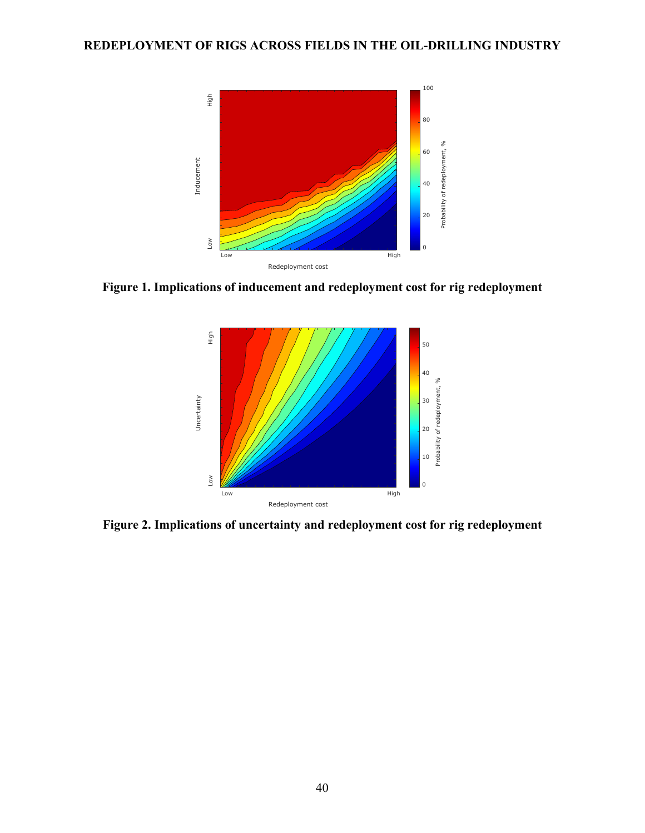

**Figure 1. Implications of inducement and redeployment cost for rig redeployment**



**Figure 2. Implications of uncertainty and redeployment cost for rig redeployment**